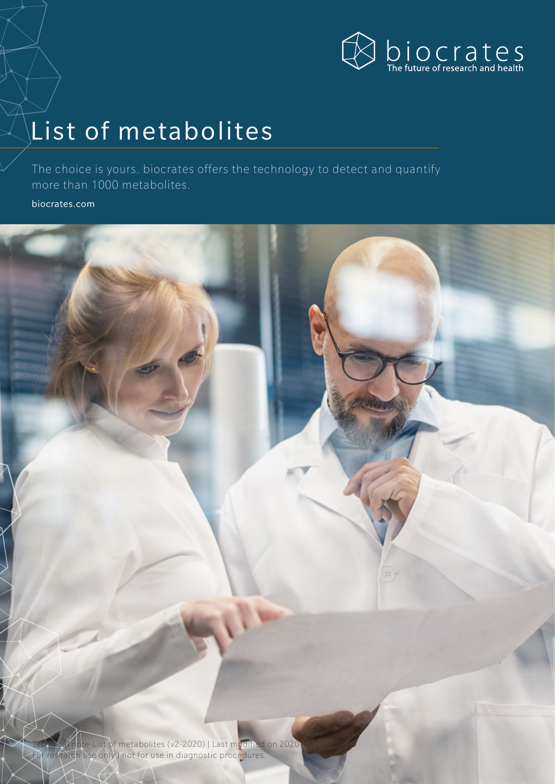

# List of metabolites

The choice is yours. biocrates offers the technology to detect and quantify more than 1000 metabolites.

[biocrates.com](http://biocrates.com)



Technical note-List of metabolites (v2-2020) | Last modified on 2020-For research use only not for use in diagnostic procedures.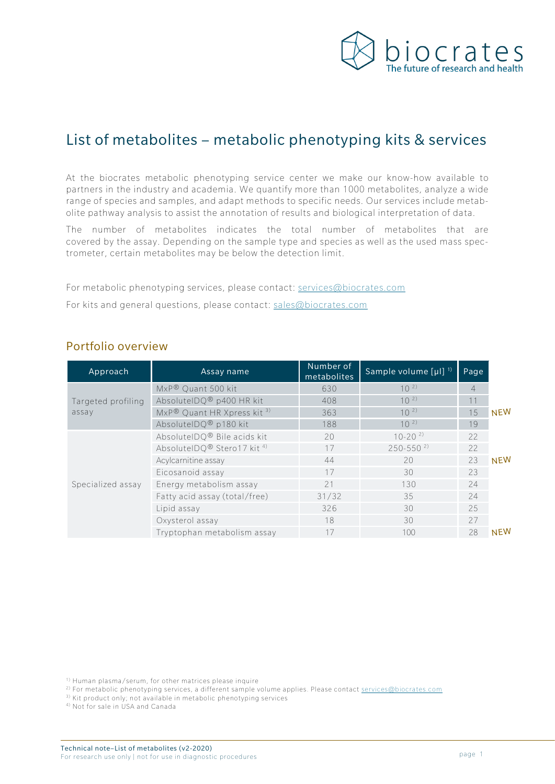

# List of metabolites – metabolic phenotyping kits & services

At the biocrates metabolic phenotyping service center we make our know-how available to partners in the industry and academia. We quantify more than 1000 metabolites, analyze a wide range of species and samples, and adapt methods to specific needs. Our services include metabolite pathway analysis to assist the annotation of results and biological interpretation of data.

The number of metabolites indicates the total number of metabolites that are covered by the assay. Depending on the sample type and species as well as the used mass spectrometer, certain metabolites may be below the detection limit.

For metabolic phenotyping services, please contact: [services@biocrates.com](mailto:services@biocrates.com) For kits and general questions, please contact: [sales@biocrates.com](mailto:sales@biocrates.com)

| Approach           | Assay name                             | Number of<br>metabolites | Sample volume $[\mu]$ <sup>1)</sup> | Page           |            |
|--------------------|----------------------------------------|--------------------------|-------------------------------------|----------------|------------|
|                    | MxP® Quant 500 kit                     | 630                      | $10^{2}$                            | $\overline{4}$ |            |
| Targeted profiling | AbsoluteIDQ® p400 HR kit               | 408                      | $10^{2}$                            | 11             |            |
| assay              | MxP® Quant HR Xpress kit 3)            | 363                      | $10^{2}$                            | 15             | <b>NEW</b> |
|                    | AbsoluteIDQ® p180 kit                  | 188                      | $10^{2}$                            | 19             |            |
|                    | AbsoluteIDQ® Bile acids kit            | 20                       | $10-20^{2}$                         | 22             |            |
|                    | AbsoluteIDQ® Stero17 kit <sup>4)</sup> | 17                       | $250 - 550^{2}$                     | 22             |            |
|                    | Acylcarnitine assay                    | 44                       | 20                                  | 23             | <b>NEW</b> |
|                    | Eicosanoid assay                       | 17                       | 30                                  | 23             |            |
| Specialized assay  | Energy metabolism assay                | 21                       | 130                                 | 24             |            |
|                    | Fatty acid assay (total/free)          | 31/32                    | 35                                  | 24             |            |
|                    | Lipid assay                            | 326                      | 30                                  | 25             |            |
|                    | Oxysterol assay                        | 18                       | 30                                  | 27             |            |
|                    | Tryptophan metabolism assay            | 17                       | 100                                 | 28             | <b>NEW</b> |

#### Portfolio overview

1) Human plasma/serum, for other matrices please inquire

<sup>2)</sup> For metabolic phenotyping services, a different sample volume applies. Please contact [services@biocrates.com](mailto:services@biocrates.com)

<sup>3)</sup> Kit product only; not available in metabolic phenotyping services

4) Not for sale in USA and Canada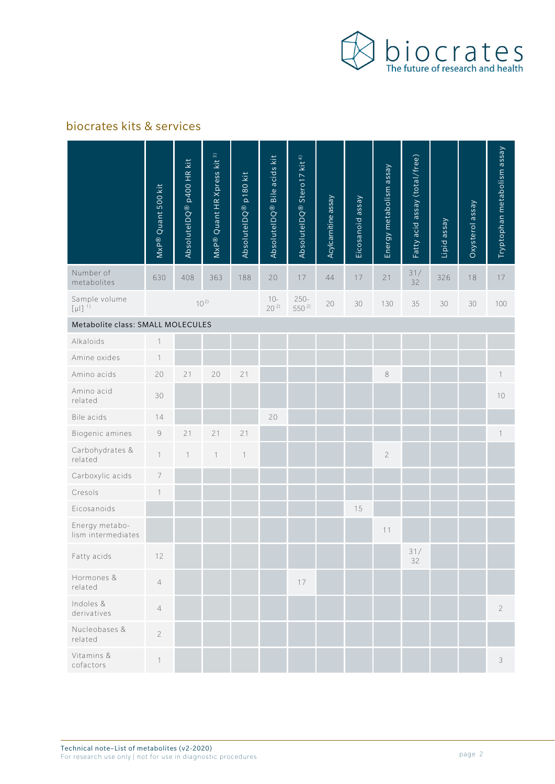

#### biocrates kits & services

|                                          | MxP® Quant 500 kit | AbsoluteIDQ <sup>®</sup> p400 HR kit | Quant HR Xpress kit 3)<br>MxP® | AbsoluteIDQ <sup>®</sup> p180 kit | AbsoluteIDQ® Bile acids kit | AbsoluteIDQ® Stero17 kit <sup>4) </sup> | Acylcarnitine assay | Eicosanoid assay | Energy metabolism assay | Fatty acid assay (total/free) | Lipid assay | Oxysterol assay | Tryptophan metabolism assay |
|------------------------------------------|--------------------|--------------------------------------|--------------------------------|-----------------------------------|-----------------------------|-----------------------------------------|---------------------|------------------|-------------------------|-------------------------------|-------------|-----------------|-----------------------------|
| Number of<br>metabolites                 | 630                | 408                                  | 363                            | 188                               | 20                          | 17                                      | 44                  | 17               | 21                      | 31/<br>32                     | 326         | 18              | 17                          |
| Sample volume<br>$[\mu$  ] <sup>1)</sup> |                    |                                      | $10^{2}$                       |                                   | $10-$<br>$20^{2}$           | $250 -$<br>550 <sup>2)</sup>            | 20                  | 30               | 130                     | 35                            | 30          | 30              | 100                         |
| Metabolite class: SMALL MOLECULES        |                    |                                      |                                |                                   |                             |                                         |                     |                  |                         |                               |             |                 |                             |
| Alkaloids                                | $\mathbf 1$        |                                      |                                |                                   |                             |                                         |                     |                  |                         |                               |             |                 |                             |
| Amine oxides                             | $\mathbf{1}$       |                                      |                                |                                   |                             |                                         |                     |                  |                         |                               |             |                 |                             |
| Amino acids                              | 20                 | 21                                   | 20                             | 21                                |                             |                                         |                     |                  | $\,8\,$                 |                               |             |                 | $\mathbb{1}$                |
| Amino acid<br>related                    | 30                 |                                      |                                |                                   |                             |                                         |                     |                  |                         |                               |             |                 | 10                          |
| Bile acids                               | 14                 |                                      |                                |                                   | 20                          |                                         |                     |                  |                         |                               |             |                 |                             |
| Biogenic amines                          | $\mathcal G$       | 21                                   | 21                             | 21                                |                             |                                         |                     |                  |                         |                               |             |                 | 1                           |
| Carbohydrates &<br>related               | $\mathbf{1}$       | $\mathbf{1}$                         | 1                              | $\mathbf{1}$                      |                             |                                         |                     |                  | $\sqrt{2}$              |                               |             |                 |                             |
| Carboxylic acids                         | 7                  |                                      |                                |                                   |                             |                                         |                     |                  |                         |                               |             |                 |                             |
| Cresols                                  | $\mathbf{1}$       |                                      |                                |                                   |                             |                                         |                     |                  |                         |                               |             |                 |                             |
| Eicosanoids                              |                    |                                      |                                |                                   |                             |                                         |                     | 15               |                         |                               |             |                 |                             |
| Energy metabo-<br>lism intermediates     |                    |                                      |                                |                                   |                             |                                         |                     |                  | 11                      |                               |             |                 |                             |
| Fatty acids                              | 12                 |                                      |                                |                                   |                             |                                         |                     |                  |                         | 31/<br>32                     |             |                 |                             |
| Hormones &<br>related                    | $\sqrt{4}$         |                                      |                                |                                   |                             | 17                                      |                     |                  |                         |                               |             |                 |                             |
| Indoles &<br>derivatives                 | $\sqrt{4}$         |                                      |                                |                                   |                             |                                         |                     |                  |                         |                               |             |                 | $\overline{2}$              |
| Nucleobases &<br>related                 | $\overline{c}$     |                                      |                                |                                   |                             |                                         |                     |                  |                         |                               |             |                 |                             |
| Vitamins &<br>cofactors                  | $\mathbf{1}$       |                                      |                                |                                   |                             |                                         |                     |                  |                         |                               |             |                 | $\mathfrak{Z}$              |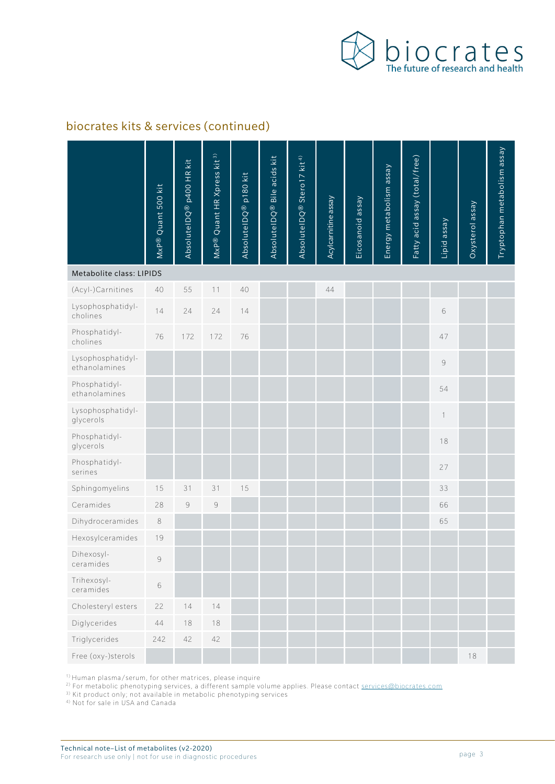

#### biocrates kits & services (continued)

|                                    | MxP® Quant 500 kit | AbsolutelDQ® p400 HR kit | Quant HR Xpress kit 3)<br>$M \times P$ <sup>®</sup> | AbsoluteIDQ® p180 kit | AbsolutelDQ <sup>®</sup> Bile acids kit | AbsoluteIDQ® Stero17 kit <sup>4)</sup> | Acylcarnitine assay | Eicosanoid assay | Energy metabolism assay | Fatty acid assay (total/free) | Lipid assay | Oxysterol assay | Tryptophan metabolism assay |
|------------------------------------|--------------------|--------------------------|-----------------------------------------------------|-----------------------|-----------------------------------------|----------------------------------------|---------------------|------------------|-------------------------|-------------------------------|-------------|-----------------|-----------------------------|
| Metabolite class: LIPIDS           |                    |                          |                                                     |                       |                                         |                                        |                     |                  |                         |                               |             |                 |                             |
| (Acyl-)Carnitines                  | 40                 | 55                       | 11                                                  | 40                    |                                         |                                        | 44                  |                  |                         |                               |             |                 |                             |
| Lysophosphatidyl-<br>cholines      | 14                 | 24                       | 24                                                  | 14                    |                                         |                                        |                     |                  |                         |                               | 6           |                 |                             |
| Phosphatidyl-<br>cholines          | 76                 | 172                      | 172                                                 | 76                    |                                         |                                        |                     |                  |                         |                               | 47          |                 |                             |
| Lysophosphatidyl-<br>ethanolamines |                    |                          |                                                     |                       |                                         |                                        |                     |                  |                         |                               | 9           |                 |                             |
| Phosphatidyl-<br>ethanolamines     |                    |                          |                                                     |                       |                                         |                                        |                     |                  |                         |                               | 54          |                 |                             |
| Lysophosphatidyl-<br>glycerols     |                    |                          |                                                     |                       |                                         |                                        |                     |                  |                         |                               | 1           |                 |                             |
| Phosphatidyl-<br>glycerols         |                    |                          |                                                     |                       |                                         |                                        |                     |                  |                         |                               | 18          |                 |                             |
| Phosphatidyl-<br>serines           |                    |                          |                                                     |                       |                                         |                                        |                     |                  |                         |                               | 27          |                 |                             |
| Sphingomyelins                     | 15                 | 31                       | 31                                                  | 15                    |                                         |                                        |                     |                  |                         |                               | 33          |                 |                             |
| Ceramides                          | 28                 | $\Theta$                 | $\mathcal G$                                        |                       |                                         |                                        |                     |                  |                         |                               | 66          |                 |                             |
| Dihydroceramides                   | 8                  |                          |                                                     |                       |                                         |                                        |                     |                  |                         |                               | 65          |                 |                             |
| Hexosylceramides                   | 19                 |                          |                                                     |                       |                                         |                                        |                     |                  |                         |                               |             |                 |                             |
| Dihexosyl-<br>ceramides            | $\mathcal{G}$      |                          |                                                     |                       |                                         |                                        |                     |                  |                         |                               |             |                 |                             |
| Trihexosyl-<br>ceramides           | 6                  |                          |                                                     |                       |                                         |                                        |                     |                  |                         |                               |             |                 |                             |
| Cholesteryl esters                 | 22                 | 14                       | 14                                                  |                       |                                         |                                        |                     |                  |                         |                               |             |                 |                             |
| Diglycerides                       | $44\,$             | $18\,$                   | $18$                                                |                       |                                         |                                        |                     |                  |                         |                               |             |                 |                             |
| Triglycerides                      | 242                | 42                       | 42                                                  |                       |                                         |                                        |                     |                  |                         |                               |             |                 |                             |
| Free (oxy-)sterols                 |                    |                          |                                                     |                       |                                         |                                        |                     |                  |                         |                               |             | 18              |                             |

1) Human plasma/serum, for other matrices, please inquire

<sup>2)</sup> For metabolic phenotyping services, a different sample volume applies. Please contact [services@biocrates.com](mailto:services@biocrates.com)

<sup>3)</sup> Kit product only; not available in metabolic phenotyping services

4) Not for sale in USA and Canada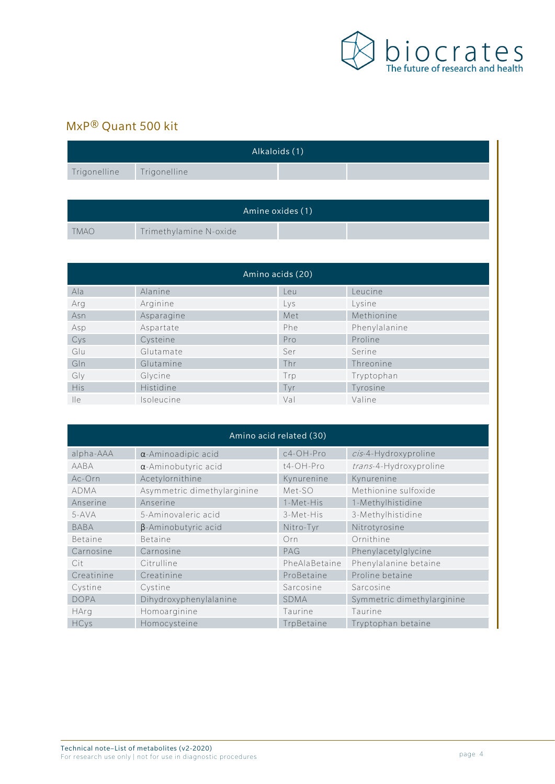

## MxP® Quant 500 kit

| Alkaloids (1) |                        |  |  |  |  |  |  |  |  |
|---------------|------------------------|--|--|--|--|--|--|--|--|
| Trigonelline  | Trigonelline           |  |  |  |  |  |  |  |  |
|               |                        |  |  |  |  |  |  |  |  |
|               | Amine oxides (1)       |  |  |  |  |  |  |  |  |
| <b>TMAO</b>   | Trimethylamine N-oxide |  |  |  |  |  |  |  |  |

| Amino acids (20) |            |     |               |  |  |  |  |  |
|------------------|------------|-----|---------------|--|--|--|--|--|
| Ala              | Alanine    | Leu | Leucine       |  |  |  |  |  |
| Arg              | Arginine   | Lys | Lysine        |  |  |  |  |  |
| Asn              | Asparagine | Met | Methionine    |  |  |  |  |  |
| Asp              | Aspartate  | Phe | Phenylalanine |  |  |  |  |  |
| Cys              | Cysteine   | Pro | Proline       |  |  |  |  |  |
| Glu              | Glutamate  | Ser | Serine        |  |  |  |  |  |
| Gln              | Glutamine  | Thr | Threonine     |  |  |  |  |  |
| Gly              | Glycine    | Trp | Tryptophan    |  |  |  |  |  |
| <b>His</b>       | Histidine  | Tyr | Tyrosine      |  |  |  |  |  |
| $\mathsf{He}$    | Isoleucine | Val | Valine        |  |  |  |  |  |

| Amino acid related (30) |                             |               |                            |  |  |  |  |  |
|-------------------------|-----------------------------|---------------|----------------------------|--|--|--|--|--|
| alpha-AAA               | $\alpha$ -Aminoadipic acid  | c4-OH-Pro     | cis-4-Hydroxyproline       |  |  |  |  |  |
| AABA                    | $\alpha$ -Aminobutyric acid | t4-OH-Pro     | trans-4-Hydroxyproline     |  |  |  |  |  |
| Ac-Orn                  | Acetylornithine             | Kynurenine    | Kynurenine                 |  |  |  |  |  |
| <b>ADMA</b>             | Asymmetric dimethylarginine | Met-SO        | Methionine sulfoxide       |  |  |  |  |  |
| Anserine                | Anserine                    | 1-Met-His     | 1-Methylhistidine          |  |  |  |  |  |
| $5-AVA$                 | 5-Aminovaleric acid         | 3-Met-His     | 3-Methylhistidine          |  |  |  |  |  |
| <b>BABA</b>             | $\beta$ -Aminobutyric acid  | Nitro-Tyr     | Nitrotyrosine              |  |  |  |  |  |
| Betaine                 | <b>Betaine</b>              | Orn           | Ornithine                  |  |  |  |  |  |
| Carnosine               | Carnosine                   | PAG           | Phenylacetylglycine        |  |  |  |  |  |
| Cit                     | Citrulline                  | PheAlaBetaine | Phenylalanine betaine      |  |  |  |  |  |
| Creatinine              | Creatinine                  | ProBetaine    | Proline betaine            |  |  |  |  |  |
| Cystine                 | Cystine                     | Sarcosine     | Sarcosine                  |  |  |  |  |  |
| <b>DOPA</b>             | Dihydroxyphenylalanine      | <b>SDMA</b>   | Symmetric dimethylarginine |  |  |  |  |  |
| HArg                    | Homoarginine                | Taurine       | Taurine                    |  |  |  |  |  |
| <b>HCys</b>             | Homocysteine                | TrpBetaine    | Tryptophan betaine         |  |  |  |  |  |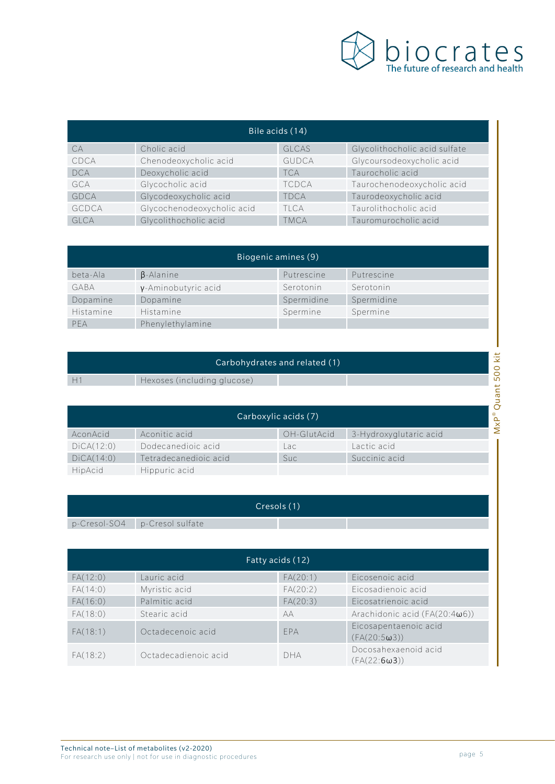

| Bile acids (14) |                            |              |                               |  |  |  |  |  |
|-----------------|----------------------------|--------------|-------------------------------|--|--|--|--|--|
| CA              | Cholic acid                | <b>GLCAS</b> | Glycolithocholic acid sulfate |  |  |  |  |  |
| CDCA            | Chenodeoxycholic acid      | <b>GUDCA</b> | Glycoursodeoxycholic acid     |  |  |  |  |  |
| <b>DCA</b>      | Deoxycholic acid           | <b>TCA</b>   | Taurocholic acid              |  |  |  |  |  |
| GCA             | Glycocholic acid           | <b>TCDCA</b> | Taurochenodeoxycholic acid    |  |  |  |  |  |
| GDCA            | Glycodeoxycholic acid      | <b>TDCA</b>  | Taurodeoxycholic acid         |  |  |  |  |  |
| GCDCA           | Glycochenodeoxycholic acid | TI CA        | Taurolithocholic acid         |  |  |  |  |  |
| <b>GLCA</b>     | Glycolithocholic acid      | <b>TMCA</b>  | Tauromurocholic acid          |  |  |  |  |  |

| Biogenic amines (9) |                          |            |            |  |  |  |  |  |
|---------------------|--------------------------|------------|------------|--|--|--|--|--|
| beta-Ala            | $\beta$ -Alanine         | Putrescine | Putrescine |  |  |  |  |  |
| GABA                | $\nu$ -Aminobutyric acid | Serotonin  | Serotonin  |  |  |  |  |  |
| Dopamine            | Dopamine                 | Spermidine | Spermidine |  |  |  |  |  |
| Histamine           | Histamine                | Spermine   | Spermine   |  |  |  |  |  |
| PFA                 | Phenylethylamine         |            |            |  |  |  |  |  |

| Carbohydrates and related (1) |                             |  |             |                        |                   |  |  |
|-------------------------------|-----------------------------|--|-------------|------------------------|-------------------|--|--|
| H.                            | Hexoses (including glucose) |  |             |                        | 0<br>LO<br>ى<br>σ |  |  |
| Carboxylic acids (7)          |                             |  |             |                        |                   |  |  |
| AconAcid                      | Aconitic acid               |  | OH-GlutAcid | 3-Hydroxyglutaric acid | Σ                 |  |  |

| Carboxylic acids (7) |                       |             |                        |  |  |  |  |  |  |
|----------------------|-----------------------|-------------|------------------------|--|--|--|--|--|--|
| AconAcid             | Aconitic acid         | OH-GlutAcid | 3-Hydroxyglutaric acid |  |  |  |  |  |  |
| DiCA(12:0)           | Dodecanedioic acid    | Lac         | Lactic acid            |  |  |  |  |  |  |
| DiCA(14:0)           | Tetradecanedioic acid | Suc:        | Succinic acid          |  |  |  |  |  |  |
| HipAcid              | Hippuric acid         |             |                        |  |  |  |  |  |  |

|                               | Cresols (1) |  |
|-------------------------------|-------------|--|
| p-Cresol-SO4 p-Cresol sulfate |             |  |

| Fatty acids (12) |                      |            |                                              |  |  |  |  |  |  |
|------------------|----------------------|------------|----------------------------------------------|--|--|--|--|--|--|
| FA(12:0)         | Lauric acid          | FA(20:1)   | Eicosenoic acid                              |  |  |  |  |  |  |
| FA(14:0)         | Myristic acid        | FA(20:2)   | Eicosadienoic acid                           |  |  |  |  |  |  |
| FA(16:0)         | Palmitic acid        | FA(20:3)   | Eicosatrienoic acid                          |  |  |  |  |  |  |
| FA(18:0)         | Stearic acid         | AА         | Arachidonic acid $(FA(20:4\omega6))$         |  |  |  |  |  |  |
| FA(18:1)         | Octadecenoic acid    | <b>FPA</b> | Eicosapentaenoic acid<br>$(FA(20:5\omega3))$ |  |  |  |  |  |  |
| FA(18:2)         | Octadecadienoic acid | <b>DHA</b> | Docosahexaenoid acid<br>$(FA(22:6\omega3))$  |  |  |  |  |  |  |

ī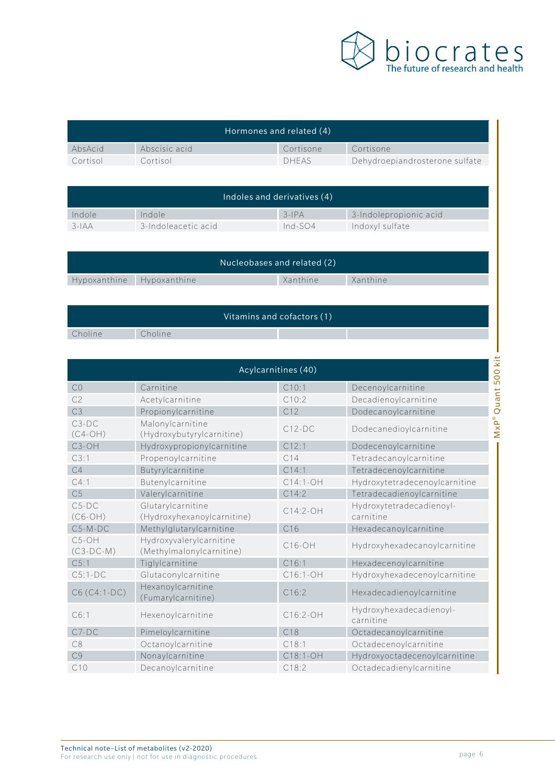

| Hormones and related (4) |               |              |                                |  |  |
|--------------------------|---------------|--------------|--------------------------------|--|--|
| AbsAcid                  | Abscisic acid | Cortisone    | Cortisone                      |  |  |
| Cortisol                 | Cortisol      | <b>DHEAS</b> | Dehydroepiandrosterone sulfate |  |  |

| Indoles and derivatives (4) |                     |           |                        |  |  |
|-----------------------------|---------------------|-----------|------------------------|--|--|
| Indole                      | Indole              | $3-IPA$   | 3-Indolepropionic acid |  |  |
| $3-IAA$                     | 3-Indoleacetic acid | $Ind-SO4$ | Indoxyl sulfate        |  |  |

| Nucleobases and related (2) |  |  |          |          |  |
|-----------------------------|--|--|----------|----------|--|
| Hypoxanthine Hypoxanthine   |  |  | Xanthine | Xanthine |  |
|                             |  |  |          |          |  |

|         |         | Vitamins and cofactors (1) |  |
|---------|---------|----------------------------|--|
| Choline | Choline |                            |  |

| 500 kit<br>Acylcarnitines (40) |                                                     |            |                                       |            |  |
|--------------------------------|-----------------------------------------------------|------------|---------------------------------------|------------|--|
| CO                             | Carnitine                                           | C10:1      | Decenoylcarnitine                     |            |  |
| C <sub>2</sub>                 | Acetylcarnitine                                     | C10:2      | Decadienoylcarnitine                  |            |  |
| C3                             | Propionylcarnitine                                  | C12        | Dodecanoylcarnitine                   |            |  |
| $C3-DC$<br>$(C4-OH)$           | Malonylcarnitine<br>(Hydroxybutyrylcarnitine)       | $C12-DC$   | Dodecanedioylcarnitine                | MxP® Quant |  |
| C <sub>3</sub> -OH             | Hydroxypropionylcarnitine                           | C12:1      | Dodecenoylcarnitine                   |            |  |
| C3:1                           | Propenoylcarnitine                                  | C14        | Tetradecanoylcarnitine                |            |  |
| C4                             | Butyrylcarnitine                                    | C14:1      | Tetradecenoylcarnitine                |            |  |
| C4:1                           | Butenylcarnitine                                    | $C14:1-OH$ | Hydroxytetradecenoylcarnitine         |            |  |
| C <sub>5</sub>                 | Valerylcarnitine                                    | C14:2      | Tetradecadienoylcarnitine             |            |  |
| $C5-DC$<br>$(C6-OH)$           | Glutarylcarnitine<br>(Hydroxyhexanoylcarnitine)     | $C14:2-OH$ | Hydroxytetradecadienoyl-<br>carnitine |            |  |
| $C5-M-DC$                      | Methylglutarylcarnitine                             | C16        | Hexadecanoylcarnitine                 |            |  |
| $C5-OH$<br>$(C3-DC-M)$         | Hydroxyvalerylcarnitine<br>(Methylmalonylcarnitine) | $C16-OH$   | Hydroxyhexadecanoylcarnitine          |            |  |
| C5:1                           | Tiglylcarnitine                                     | C16:1      | Hexadecenoylcarnitine                 |            |  |
| $C5:1-DC$                      | Glutaconylcarnitine                                 | C16:1-OH   | Hydroxyhexadecenoylcarnitine          |            |  |
| C6 (C4:1-DC)                   | Hexanoylcarnitine<br>(Fumarylcarnitine)             | C16:2      | Hexadecadienoylcarnitine              |            |  |
| C6:1                           | Hexenoylcarnitine                                   | C16:2-OH   | Hydroxyhexadecadienoyl-<br>carnitine  |            |  |
| $C7-DC$                        | Pimeloylcarnitine                                   | C18        | Octadecanoylcarnitine                 |            |  |
| C8                             | Octanoylcarnitine                                   | C18:1      | Octadecenoylcarnitine                 |            |  |
| C <sub>9</sub>                 | Nonaylcarnitine                                     | C18:1-OH   | Hydroxyoctadecenoylcarnitine          |            |  |
| C10                            | Decanoylcarnitine                                   | C18:2      | Octadecadienylcarnitine               |            |  |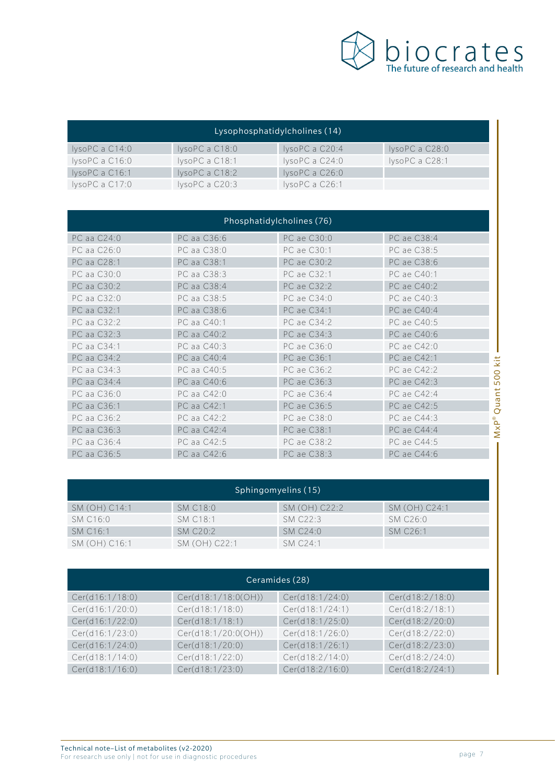

| Lysophosphatidylcholines (14) |                |                |                |  |  |  |
|-------------------------------|----------------|----------------|----------------|--|--|--|
| IysoPC a C14:0                | IysoPCa C18:0  | IysoPC a C20:4 | IysoPCa C28:0  |  |  |  |
| IysoPCa C16:0                 | IysoPC a C18:1 | IysoPCa C24:0  | IysoPC a C28:1 |  |  |  |
| IysoPC a C16:1                | IysoPCa C18:2  | IysoPCa C26:0  |                |  |  |  |
| IysoPCa C17:0                 | IysoPCa C20:3  | IysoPC a C26:1 |                |  |  |  |

| Phosphatidylcholines (76) |             |             |                                            |  |  |
|---------------------------|-------------|-------------|--------------------------------------------|--|--|
| PC aa C24:0               | PC aa C36:6 | PC ae C30:0 | PC ae C38:4                                |  |  |
| PC aa C26:0               | PC aa C38:0 | PC ae C30:1 | PC ae C38:5                                |  |  |
| PC aa C28:1               | PC aa C38:1 | PC ae C30:2 | PC ae C38:6                                |  |  |
| PC aa C30:0               | PC aa C38:3 | PC ae C32:1 | PC ae C40:1                                |  |  |
| PC aa C30:2               | PC aa C38:4 | PC ae C32:2 | PC ae C40:2                                |  |  |
| PC aa C32:0               | PC aa C38:5 | PC ae C34:0 | PC ae C40:3                                |  |  |
| PC aa C32:1               | PC aa C38:6 | PC ae C34:1 | PC ae C40:4                                |  |  |
| PC aa C32:2               | PC aa C40:1 | PC ae C34:2 | PC ae C40:5                                |  |  |
| PC aa C32:3               | PC aa C40:2 | PC ae C34:3 | PC ae C40:6                                |  |  |
| PC aa C34:1               | PC aa C40:3 | PC ae C36:0 | PC ae C42:0                                |  |  |
| PC aa C34:2               | PC aa C40:4 | PC ae C36:1 | PC ae C42:1<br>kit                         |  |  |
| PC aa C34:3               | PC aa C40:5 | PC ae C36:2 | PC ae C42:2<br>$\overline{O}$              |  |  |
| PC aa C34:4               | PC aa C40:6 | PC ae C36:3 | PC ae C42:3<br>$\overline{5}$              |  |  |
| PC aa C36:0               | PC aa C42:0 | PC ae C36:4 | uant<br>PC ae C42:4                        |  |  |
| PC aa C36:1               | PC aa C42:1 | PC ae C36:5 | PC ae C42:5<br>$\overline{O}$              |  |  |
| PC aa C36:2               | PC aa C42:2 | PC ae C38:0 | PC ae C44:3                                |  |  |
| PC aa C36:3               | PC aa C42:4 | PC ae C38:1 | $M \times P^{\circledcirc}$<br>PC ae C44:4 |  |  |
| PC aa C36:4               | PC aa C42:5 | PC ae C38:2 | PC ae C44:5                                |  |  |
| PC aa C36:5               | PC aa C42:6 | PC ae C38:3 | PC ae C44:6                                |  |  |

| Sphingomyelins (15)  |                 |                                |                      |  |  |  |
|----------------------|-----------------|--------------------------------|----------------------|--|--|--|
| SM (OH) C14:1        | <b>SM C18:0</b> | SM (OH) C22:2                  | SM (OH) C24:1        |  |  |  |
| SM C16:0             | SM C18:1        | SM C <sub>22:3</sub>           | SM C26:0             |  |  |  |
| SM C <sub>16:1</sub> | SMC20:2         | SM C <sub>24:0</sub>           | SM C <sub>26:1</sub> |  |  |  |
| SM (OH) C16:1        | SM (OH) C22:1   | $SM$ C <sub>24</sub> $\cdot$ 1 |                      |  |  |  |

| Ceramides (28)  |                     |                 |                 |  |  |
|-----------------|---------------------|-----------------|-----------------|--|--|
| Cer(d16:1/18:0) | Cer(d18:1/18:0(OH)) | Cer(d18:1/24:0) | Cer(d18:2/18:0) |  |  |
| Cer(d16:1/20:0) | Cer(d18:1/18:0)     | Cer(d18:1/24:1) | Cer(d18:2/18:1) |  |  |
| Cer(d16:1/22:0) | Cer(d18:1/18:1)     | Cer(d18:1/25:0) | Cer(d18:2/20:0) |  |  |
| Cer(d16:1/23:0) | Cer(d18:1/20:0(OH)) | Cer(d18:1/26:0) | Cer(d18:2/22:0) |  |  |
| Cer(d16:1/24:0) | Cer(d18:1/20:0)     | Cer(d18:1/26:1) | Cer(d18:2/23:0) |  |  |
| Cer(d18:1/14:0) | Cer(d18:1/22:0)     | Cer(d18:2/14:0) | Cer(d18:2/24:0) |  |  |
| Cer(d18:1/16:0) | Cer(d18:1/23:0)     | Cer(d18:2/16:0) | Cer(d18:2/24:1) |  |  |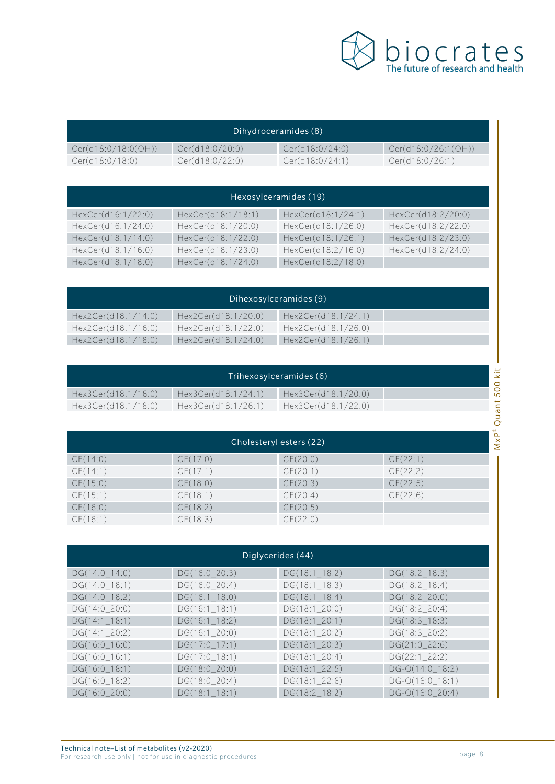

| Dihydroceramides (8) . |                 |                 |                     |  |  |
|------------------------|-----------------|-----------------|---------------------|--|--|
| Cer(d18:0/18:0(OH))    | Cer(d18:0/20:0) | Cer(d18:0/24:0) | Cer(d18:0/26:1(OH)) |  |  |
| Cer(d18:0/18:0)        | Cer(d18:0/22:0) | Cer(d18:0/24:1) | Cer(d18:0/26:1)     |  |  |

| Hexosylceramides (19) |                    |                    |                    |  |  |  |  |
|-----------------------|--------------------|--------------------|--------------------|--|--|--|--|
| HexCer(d16:1/22:0)    | HexCer(d18:1/18:1) | HexCer(d18:1/24:1) | HexCer(d18:2/20:0) |  |  |  |  |
| HexCer(d16:1/24:0)    | HexCer(d18:1/20:0) | HexCer(d18:1/26:0) | HexCer(d18:2/22:0) |  |  |  |  |
| HexCer(d18:1/14:0)    | HexCer(d18:1/22:0) | HexCer(d18:1/26:1) | HexCer(d18:2/23:0) |  |  |  |  |
| HexCer(d18:1/16:0)    | HexCer(d18:1/23:0) | HexCer(d18:2/16:0) | HexCer(d18:2/24:0) |  |  |  |  |
| HexCer(d18:1/18:0)    | HexCer(d18:1/24:0) | HexCer(d18:2/18:0) |                    |  |  |  |  |

| Dihexosylceramides (9) |                     |                     |  |  |  |  |
|------------------------|---------------------|---------------------|--|--|--|--|
| Hex2Cer(d18:1/14:0)    | Hex2Cer(d18:1/20:0) | Hex2Cer(d18:1/24:1) |  |  |  |  |
| Hex2Cer(d18:1/16:0)    | Hex2Cer(d18:1/22:0) | Hex2Cer(d18:1/26:0) |  |  |  |  |
| Hex2Cer(d18:1/18:0)    | Hex2Cer(d18:1/24:0) | Hex2Cer(d18:1/26:1) |  |  |  |  |

| Trihexosylceramides (6) |                     |                     |  |  |
|-------------------------|---------------------|---------------------|--|--|
| Hex3Cer(d18:1/16:0)     | Hex3Cer(d18:1/24:1) | Hex3Cer(d18:1/20:0) |  |  |
| Hex3Cer(d18:1/18:0)     | Hex3Cer(d18:1/26:1) | Hex3Cer(d18:1/22:0) |  |  |

| Cholesteryl esters (22) |          |          |          |
|-------------------------|----------|----------|----------|
| CE(14:0)                | CE(17:0) | CE(20:0) | CE(22:1) |
| CE(14:1)                | CE(17:1) | CE(20:1) | CE(22:2) |
| CE(15:0)                | CE(18:0) | CE(20:3) | CE(22:5) |
| CE(15:1)                | CE(18:1) | CE(20:4) | CE(22:6) |
| CE(16:0)                | CE(18:2) | CE(20:5) |          |
| CE(16:1)                | CE(18:3) | CE(22:0) |          |

| Diglycerides (44) |                  |                  |                   |
|-------------------|------------------|------------------|-------------------|
| $DG(14:0_14:0)$   | $DG(16:0_20:3)$  | $DG(18:1\_18:2)$ | DG(18:2 18:3)     |
| $DG(14:0_18:1)$   | $DG(16:0_20:4)$  | $DG(18:1\_18:3)$ | $DG(18:2_18:4)$   |
| $DG(14:0_18:2)$   | $DG(16:1\_18:0)$ | $DG(18:1\_18:4)$ | DG(18:2_20:0)     |
| $DG(14:0_20:0)$   | $DG(16:1\_18:1)$ | $DG(18:1\_20:0)$ | DG(18:2_20:4)     |
| $DG(14:1\_18:1)$  | $DG(16:1\_18:2)$ | $DG(18:1\_20:1)$ | DG(18:3_18:3)     |
| $DG(14:1\_20:2)$  | $DG(16:1\_20:0)$ | $DG(18:1\_20:2)$ | DG(18:3_20:2)     |
| $DG(16:0_16:0)$   | DG(17:0_17:1)    | DG(18:1_20:3)    | DG(21:0_22:6)     |
| $DG(16:0_16:1)$   | DG(17:0_18:1)    | $DG(18:1\_20:4)$ | $DG(22:1_22:2)$   |
| $DG(16:0_18:1)$   | $DG(18:0_220:0)$ | $DG(18:1\_22:5)$ | $DG-O(14:0_18:2)$ |
| DG(16:0_18:2)     | DG(18:0_20:4)    | $DG(18:1\_22:6)$ | $DG-O(16:0_18:1)$ |
| $DG(16:0_20:0)$   | $DG(18:1\_18:1)$ | DG(18:2_18:2)    | DG-O(16:0_20:4)   |

MxP® Quant 500 kit

Ï

MxP® Quant 500 kit -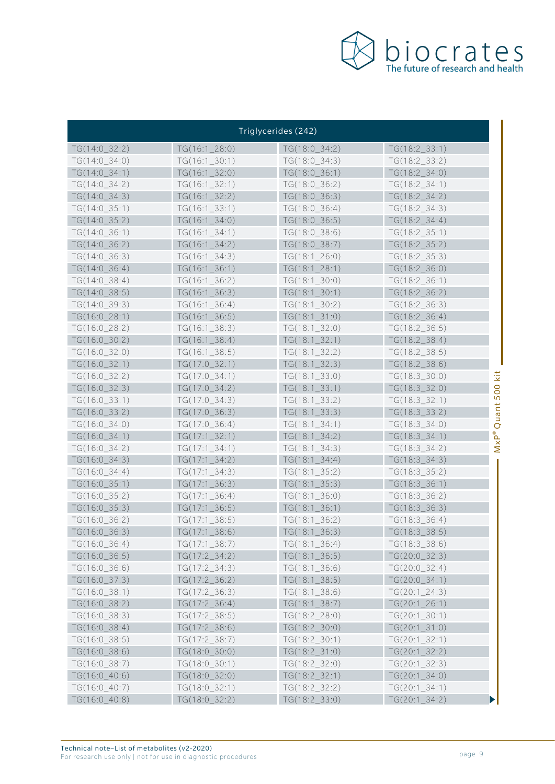

|                 |                  | Triglycerides (242) |                  |              |
|-----------------|------------------|---------------------|------------------|--------------|
| TG(14:0 32:2)   | TG(16:1 28:0)    | $TG(18:0_34:2)$     | TG(18:2 33:1)    |              |
| $TG(14:0_34:0)$ | $TG(16:1\_30:1)$ | $TG(18:0_34:3)$     | $TG(18:2\_33:2)$ |              |
| $TG(14:0_34:1)$ | $TG(16:1_32:0)$  | $TG(18:0_36:1)$     | $TG(18:2\_34:0)$ |              |
| $TG(14:0_34:2)$ | $TG(16:1_32:1)$  | $TG(18:0_36:2)$     | $TG(18:2\_34:1)$ |              |
| $TG(14:0_34:3)$ | $TG(16:1_32:2)$  | $TG(18:0_36:3)$     | $TG(18:2_34:2)$  |              |
| $TG(14:0_35:1)$ | $TG(16:1\_33:1)$ | $TG(18:0_36:4)$     | $TG(18:2\_34:3)$ |              |
| $TG(14:0_35:2)$ | $TG(16:1_34:0)$  | $TG(18:0_36:5)$     | $TG(18:2_34:4)$  |              |
| $TG(14:0_36:1)$ | TG(16:1 34:1)    | $TG(18:0_38:6)$     | $TG(18:2\_35:1)$ |              |
| $TG(14:0_36:2)$ | $TG(16:1_34:2)$  | TG(18:0_38:7)       | $TG(18:2_35:2)$  |              |
| $TG(14:0_36:3)$ | $TG(16:1\_34:3)$ | $TG(18:1\_26:0)$    | $TG(18:2\_35:3)$ |              |
| $TG(14:0_36:4)$ | $TG(16:1_36:1)$  | $TG(18:1\_28:1)$    | $TG(18:2_36:0)$  |              |
| $TG(14:0_38:4)$ | $TG(16:1\_36:2)$ | $TG(18:1\_30:0)$    | $TG(18:2\_36:1)$ |              |
| $TG(14:0_38:5)$ | $TG(16:1_36:3)$  | $TG(18:1\_30:1)$    | $TG(18:2_36:2)$  |              |
| $TG(14:0_39:3)$ | $TG(16:1\_36:4)$ | $TG(18:1\_30:2)$    | $TG(18:2_36:3)$  |              |
| $TG(16:0_28:1)$ | $TG(16:1_36:5)$  | $TG(18:1\_31:0)$    | $TG(18:2_36:4)$  |              |
| $TG(16:0_28:2)$ | $TG(16:1\_38:3)$ | $TG(18:1\_32:0)$    | $TG(18:2\_36:5)$ |              |
| TG(16:0_30:2)   | $TG(16:1_38:4)$  | $TG(18:1\_32:1)$    | $TG(18:2_38:4)$  |              |
| $TG(16:0_32:0)$ | $TG(16:1\_38:5)$ | $TG(18:1_32:2)$     | $TG(18:2\_38:5)$ |              |
| $TG(16:0_32:1)$ | $TG(17:0_32:1)$  | $TG(18:1_32:3)$     | $TG(18:2\_38:6)$ |              |
| TG(16:0 32:2)   | $TG(17:0_34:1)$  | $TG(18:1\_33:0)$    | $TG(18:3_30:0)$  | kit          |
| $TG(16:0_32:3)$ | TG(17:0_34:2)    | $TG(18:1\_33:1)$    | $TG(18:3_32:0)$  | 500          |
| $TG(16:0_33:1)$ | $TG(17:0_34:3)$  | $TG(18:1\_33:2)$    | $TG(18:3_32:1)$  |              |
| $TG(16:0_33:2)$ | TG(17:0_36:3)    | $TG(18:1\_33:3)$    | $TG(18:3_3:2)$   | Ouant        |
| $TG(16:0_34:0)$ | $TG(17:0_36:4)$  | $TG(18:1\_34:1)$    | $TG(18:3_34:0)$  |              |
| $TG(16:0_34:1)$ | $TG(17:1\_32:1)$ | $TG(18:1_34:2)$     | $TG(18:3_34:1)$  |              |
| $TG(16:0_34:2)$ | $TG(17:1\_34:1)$ | $TG(18:1\_34:3)$    | $TG(18:3_34:2)$  | $M \times P$ |
| $TG(16:0_34:3)$ | $TG(17:1_34:2)$  | $TG(18:1\_34:4)$    | $TG(18:3_34:3)$  |              |
| $TG(16:0_34:4)$ | $TG(17:1\_34:3)$ | $TG(18:1\_35:2)$    | $TG(18:3_35:2)$  |              |
| $TG(16:0_35:1)$ | $TG(17:1\_36:3)$ | $TG(18:1_35:3)$     | $TG(18:3_36:1)$  |              |
| $TG(16:0_35:2)$ | $TG(17:1\_36:4)$ | $TG(18:1\_36:0)$    | $TG(18:3_36:2)$  |              |
| TG(16:0 35:3)   | $TG(17:1\_36:5)$ | $TG(18:1\_36:1)$    | $TG(18:3_36:3)$  |              |
| $TG(16:0_36:2)$ | $TG(17:1\_38:5)$ | $TG(18:1_36:2)$     | $TG(18:3_36:4)$  |              |
| TG(16:0_36:3)   | $TG(17:1\_38:6)$ | $TG(18:1_36:3)$     | $TG(18:3_38:5)$  |              |
| $TG(16:0_36:4)$ | $TG(17:1\_38:7)$ | $TG(18:1_36:4)$     | $TG(18:3_38:6)$  |              |
| $TG(16:0_36:5)$ | TG(17:2_34:2)    | $TG(18:1\_36:5)$    | $TG(20:0_32:3)$  |              |
| $TG(16:0_36:6)$ | $TG(17:2\_34:3)$ | $TG(18:1_36:6)$     | $TG(20:0_32:4)$  |              |
| $TG(16:0_37:3)$ | $TG(17:2_36:2)$  | $TG(18:1\_38:5)$    | $TG(20:0_34:1)$  |              |
| $TG(16:0_38:1)$ | TG(17:2_36:3)    | $TG(18:1\_38:6)$    | $TG(20:1\_24:3)$ |              |
| $TG(16:0_38:2)$ | $TG(17:2_36:4)$  | $TG(18:1\_38:7)$    | $TG(20:1\_26:1)$ |              |
| $TG(16:0_38:3)$ | $TG(17:2\_38:5)$ | TG(18:2_28:0)       | $TG(20:1\_30:1)$ |              |
| $TG(16:0_38:4)$ | TG(17:2_38:6)    | TG(18:2_30:0)       | $TG(20:1\_31:0)$ |              |
| $TG(16:0_38:5)$ | TG(17:2_38:7)    | $TG(18:2\_30:1)$    | $TG(20:1\_32:1)$ |              |
| $TG(16:0_38:6)$ | $TG(18:0_30:0)$  | $TG(18:2\_31:0)$    | $TG(20:1\_32:2)$ |              |
| TG(16:0_38:7)   | $TG(18:0_30:1)$  | $TG(18:2\_32:0)$    | $TG(20:1\_32:3)$ |              |
| $TG(16:0_40:6)$ | $TG(18:0_32:0)$  | $TG(18:2_32:1)$     | $TG(20:1\_34:0)$ |              |
| TG(16:0_40:7)   | $TG(18:0_32:1)$  | $TG(18:2_32:2)$     | $TG(20:1\_34:1)$ |              |
| $TG(16:0_40:8)$ | TG(18:0_32:2)    | TG(18:2_33:0)       | $TG(20:1\_34:2)$ |              |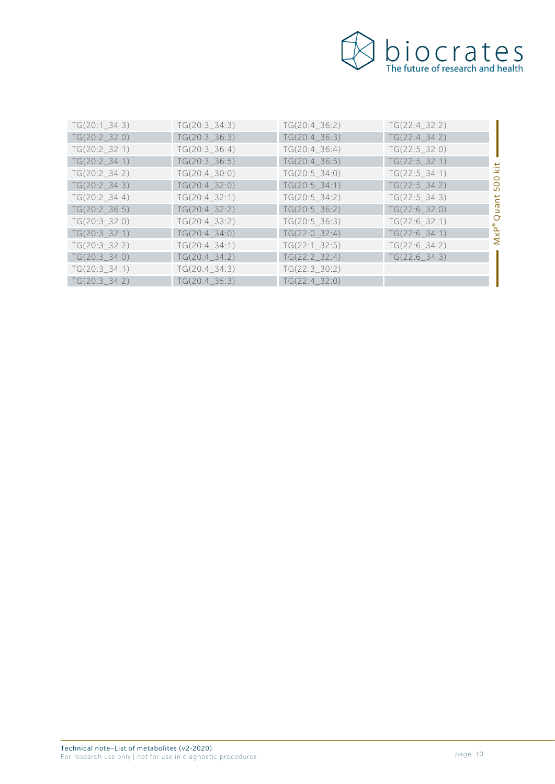

| kit                              |
|----------------------------------|
| $\overline{O}$<br>$\overline{5}$ |
| $\overline{a}$                   |
| <b>D</b>                         |
| $\circ$                          |
| $M \times P$                     |
|                                  |
|                                  |
|                                  |
|                                  |
|                                  |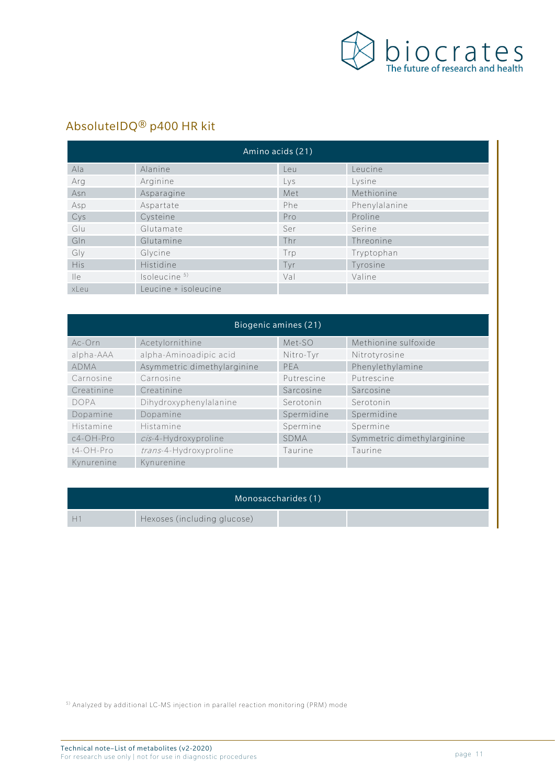

# AbsoluteIDQ® p400 HR kit

| Amino acids (21) |                          |     |               |  |
|------------------|--------------------------|-----|---------------|--|
| Ala              | Alanine                  | Leu | Leucine       |  |
| Arg              | Arginine                 | Lys | Lysine        |  |
| Asn              | Asparagine               | Met | Methionine    |  |
| Asp              | Aspartate                | Phe | Phenylalanine |  |
| Cys              | Cysteine                 | Pro | Proline       |  |
| Glu              | Glutamate                | Ser | Serine        |  |
| GIn              | Glutamine                | Thr | Threonine     |  |
| Gly              | Glycine                  | Trp | Tryptophan    |  |
| <b>His</b>       | Histidine                | Tyr | Tyrosine      |  |
| $\mathsf{He}$    | Isoleucine <sup>5)</sup> | Val | Valine        |  |
| xLeu             | Leucine + isoleucine     |     |               |  |

| Biogenic amines (21) |                             |             |                            |  |
|----------------------|-----------------------------|-------------|----------------------------|--|
| Ac-Orn               | Acetylornithine             | Met-SO      | Methionine sulfoxide       |  |
| alpha-AAA            | alpha-Aminoadipic acid      | Nitro-Tyr   | Nitrotyrosine              |  |
| <b>ADMA</b>          | Asymmetric dimethylarginine | PFA         | Phenylethylamine           |  |
| Carnosine            | Carnosine                   | Putrescine  | Putrescine                 |  |
| Creatinine           | Creatinine                  | Sarcosine   | Sarcosine                  |  |
| <b>DOPA</b>          | Dihydroxyphenylalanine      | Serotonin   | Serotonin                  |  |
| Dopamine             | Dopamine                    | Spermidine  | Spermidine                 |  |
| Histamine            | Histamine                   | Spermine    | Spermine                   |  |
| $c4$ -OH-Pro         | cis-4-Hydroxyproline        | <b>SDMA</b> | Symmetric dimethylarginine |  |
| t4-OH-Pro            | trans-4-Hydroxyproline      | Taurine     | Taurine                    |  |
| Kynurenine           | Kynurenine                  |             |                            |  |

| Monosaccharides (1) |                             |  |  |
|---------------------|-----------------------------|--|--|
|                     | Hexoses (including glucose) |  |  |

5) Analyzed by additional LC-MS injection in parallel reaction monitoring (PRM) mode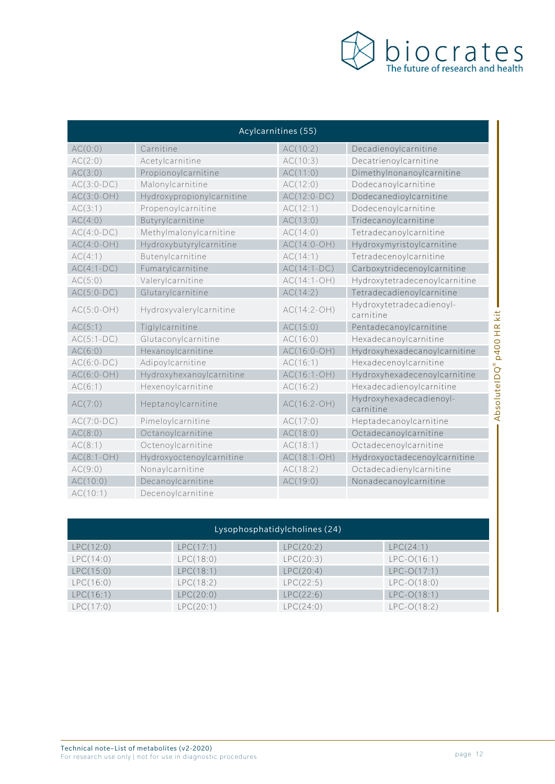

| Acylcarnitines (55) |                           |               |                                                          |  |
|---------------------|---------------------------|---------------|----------------------------------------------------------|--|
| AC(0:0)             | Carnitine                 | AC(10:2)      | Decadienoylcarnitine                                     |  |
| AC(2:0)             | Acetylcarnitine           | AC(10:3)      | Decatrienoylcarnitine                                    |  |
| AC(3:0)             | Propionoylcarnitine       | AC(11:0)      | Dimethylnonanoylcarnitine                                |  |
| $AC(3:0-DC)$        | Malonylcarnitine          | AC(12:0)      | Dodecanoylcarnitine                                      |  |
| $AC(3:0-OH)$        | Hydroxypropionylcarnitine | $AC(12:0-DC)$ | Dodecanedioylcarnitine                                   |  |
| AC(3:1)             | Propenoylcarnitine        | AC(12:1)      | Dodecenoylcarnitine                                      |  |
| AC(4:0)             | Butyrylcarnitine          | AC(13:0)      | Tridecanoylcarnitine                                     |  |
| $AC(4:0-DC)$        | Methylmalonylcarnitine    | AC(14:0)      | Tetradecanoylcarnitine                                   |  |
| $AC(4:0-OH)$        | Hydroxybutyrylcarnitine   | $AC(14:0-OH)$ | Hydroxymyristoylcarnitine                                |  |
| AC(4:1)             | Butenylcarnitine          | AC(14:1)      | Tetradecenoylcarnitine                                   |  |
| $AC(4:1-DC)$        | Fumarylcarnitine          | $AC(14:1-DC)$ | Carboxytridecenoylcarnitine                              |  |
| AC(5:0)             | Valerylcarnitine          | $AC(14:1-OH)$ | Hydroxytetradecenoylcarnitine                            |  |
| $AC(5:0-DC)$        | Glutarylcarnitine         | AC(14:2)      | Tetradecadienoylcarnitine                                |  |
| $AC(5:0-OH)$        | Hydroxyvalerylcarnitine   | $AC(14:2-OH)$ | Hydroxytetradecadienoyl-<br>carnitine                    |  |
| AC(5:1)             | Tiglylcarnitine           | AC(15:0)      | Pentadecanoylcarnitine                                   |  |
| $AC(5:1-DC)$        | Glutaconylcarnitine       | AC(16:0)      | Hexadecanoylcarnitine                                    |  |
| AC(6:0)             | Hexanoylcarnitine         | $AC(16:0-OH)$ | Hydroxyhexadecanoylcarnitine                             |  |
| $AC(6:0-DC)$        | Adipoylcarnitine          | AC(16:1)      | Hexadecenoylcarnitine                                    |  |
| $AC(6:0-OH)$        | Hydroxyhexanoylcarnitine  | $AC(16:1-OH)$ | Hydroxyhexadecenoylcarnitine                             |  |
| AC(6:1)             | Hexenoylcarnitine         | AC(16:2)      | Hexadecadienoylcarnitine                                 |  |
| AC(7:0)             | Heptanoylcarnitine        | $AC(16:2-OH)$ | AbsoluteIDQ®p400<br>Hydroxyhexadecadienoyl-<br>carnitine |  |
| $AC(7:0-DC)$        | Pimeloylcarnitine         | AC(17:0)      | Heptadecanoylcarnitine                                   |  |
| AC(8:0)             | Octanoylcarnitine         | AC(18:0)      | Octadecanoylcarnitine                                    |  |
| AC(8:1)             | Octenoylcarnitine         | AC(18:1)      | Octadecenoylcarnitine                                    |  |
| $AC(8:1-OH)$        | Hydroxyoctenoylcarnitine  | $AC(18:1-OH)$ | Hydroxyoctadecenoylcarnitine                             |  |
| AC(9:0)             | Nonaylcarnitine           | AC(18:2)      | Octadecadienylcarnitine                                  |  |
| AC(10:0)            | Decanoylcarnitine         | AC(19:0)      | Nonadecanoylcarnitine                                    |  |
| AC(10:1)            | Decenoylcarnitine         |               |                                                          |  |

| Lysophosphatidylcholines (24) |           |           |               |  |
|-------------------------------|-----------|-----------|---------------|--|
| LPC(12:0)                     | LPC(17:1) | LPC(20:2) | LPC(24:1)     |  |
| LPC(14:0)                     | LPC(18:0) | LPC(20:3) | $LPC-O(16:1)$ |  |
| LPC(15:0)                     | LPC(18:1) | LPC(20:4) | $LPC-O(17:1)$ |  |
| LPC(16:0)                     | LPC(18:2) | LPC(22:5) | $LPC-O(18:0)$ |  |
| LPC(16:1)                     | LPC(20:0) | LPC(22:6) | $LPC-O(18:1)$ |  |
| LPC(17:0)                     | LPC(20:1) | LPC(24:0) | $LPC-O(18:2)$ |  |

Technical note–List of metabolites (v2-2020) For research use only | not for use in diagnostic procedures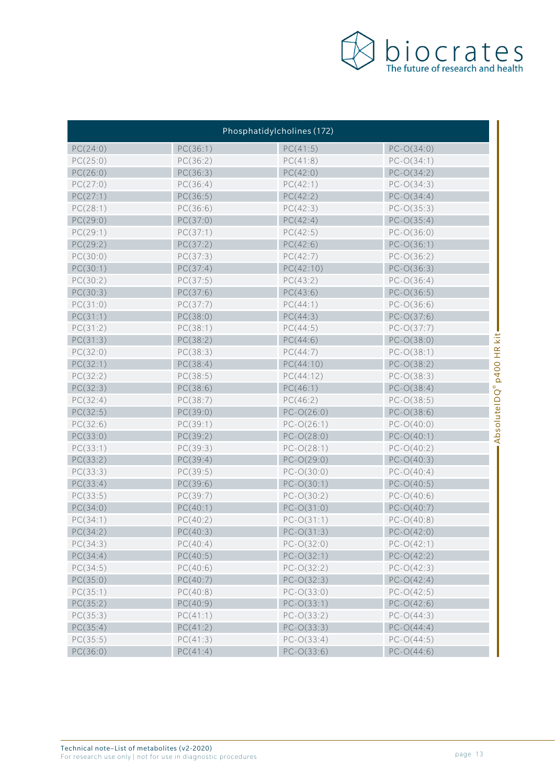

| Phosphatidylcholines (172) |          |              |                                |  |
|----------------------------|----------|--------------|--------------------------------|--|
| PC(24:0)                   | PC(36:1) | PC(41:5)     | $PC-O(34:0)$                   |  |
| PC(25:0)                   | PC(36:2) | PC(41:8)     | $PC-O(34:1)$                   |  |
| PC(26:0)                   | PC(36:3) | PC(42:0)     | $PC-O(34:2)$                   |  |
| PC(27:0)                   | PC(36:4) | PC(42:1)     | $PC-O(34:3)$                   |  |
| PC(27:1)                   | PC(36:5) | PC(42:2)     | $PC-O(34:4)$                   |  |
| PC(28:1)                   | PC(36:6) | PC(42:3)     | $PC-O(35:3)$                   |  |
| PC(29:0)                   | PC(37:0) | PC(42:4)     | $PC-O(35:4)$                   |  |
| PC(29:1)                   | PC(37:1) | PC(42:5)     | $PC-O(36:0)$                   |  |
| PC(29:2)                   | PC(37:2) | PC(42:6)     | $PC-O(36:1)$                   |  |
| PC(30:0)                   | PC(37:3) | PC(42:7)     | $PC-O(36:2)$                   |  |
| PC(30:1)                   | PC(37:4) | PC(42:10)    | $PC-O(36:3)$                   |  |
| PC(30:2)                   | PC(37:5) | PC(43:2)     | $PC-O(36:4)$                   |  |
| PC(30:3)                   | PC(37:6) | PC(43:6)     | $PC-O(36:5)$                   |  |
| PC(31:0)                   | PC(37:7) | PC(44:1)     | $PC-O(36:6)$                   |  |
| PC(31:1)                   | PC(38:0) | PC(44:3)     | $PC-O(37:6)$                   |  |
| PC(31:2)                   | PC(38:1) | PC(44:5)     | $PC-O(37:7)$                   |  |
| PC(31:3)                   | PC(38:2) | PC(44:6)     | kit<br>$PC-O(38:0)$            |  |
| PC(32:0)                   | PC(38:3) | PC(44:7)     | $PC-O(38:1)$                   |  |
| PC(32:1)                   | PC(38:4) | PC(44:10)    | $PC-O(38:2)$                   |  |
| PC(32:2)                   | PC(38:5) | PC(44:12)    | <b>p400 HR</b><br>$PC-O(38:3)$ |  |
| PC(32:3)                   | PC(38:6) | PC(46:1)     | $PC-O(38:4)$                   |  |
| PC(32:4)                   | PC(38:7) | PC(46:2)     | AbsoluteIDQ®<br>$PC-O(38:5)$   |  |
| PC(32:5)                   | PC(39:0) | $PC-O(26:0)$ | $PC-O(38:6)$                   |  |
| PC(32:6)                   | PC(39:1) | $PC-O(26:1)$ | $PC-O(40:0)$                   |  |
| PC(33:0)                   | PC(39:2) | $PC-O(28:0)$ | $PC-O(40:1)$                   |  |
| PC(33:1)                   | PC(39:3) | $PC-O(28:1)$ | $PC-O(40:2)$                   |  |
| PC(33:2)                   | PC(39:4) | $PC-O(29:0)$ | $PC-O(40:3)$                   |  |
| PC(33:3)                   | PC(39:5) | $PC-O(30:0)$ | $PC-O(40:4)$                   |  |
| PC(33:4)                   | PC(39:6) | $PC-O(30:1)$ | $PC-O(40:5)$                   |  |
| PC(33:5)                   | PC(39:7) | $PC-O(30:2)$ | $PC-O(40:6)$                   |  |
| PC(34:0)                   | PC(40:1) | $PC-O(31:0)$ | $PC-O(40:7)$                   |  |
| PC(34:1)                   | PC(40:2) | $PC-O(31:1)$ | $PC-O(40:8)$                   |  |
| PC(34:2)                   | PC(40:3) | $PC-O(31:3)$ | $PC-O(42:0)$                   |  |
| PC(34:3)                   | PC(40:4) | $PC-O(32:0)$ | $PC-O(42:1)$                   |  |
| PC(34:4)                   | PC(40:5) | $PC-O(32:1)$ | $PC-O(42:2)$                   |  |
| PC(34:5)                   | PC(40:6) | $PC-O(32:2)$ | $PC-O(42:3)$                   |  |
| PC(35:0)                   | PC(40:7) | $PC-O(32:3)$ | $PC-O(42:4)$                   |  |
| PC(35:1)                   | PC(40:8) | $PC-O(33:0)$ | $PC-O(42:5)$                   |  |
| PC(35:2)                   | PC(40:9) | $PC-O(33:1)$ | $PC-O(42:6)$                   |  |
| PC(35:3)                   | PC(41:1) | $PC-O(33:2)$ | $PC-O(44:3)$                   |  |
| PC(35:4)                   | PC(41:2) | $PC-O(33:3)$ | $PC-O(44:4)$                   |  |
| PC(35:5)                   | PC(41:3) | $PC-O(33:4)$ | $PC-O(44:5)$                   |  |
| PC(36:0)                   | PC(41:4) | $PC-O(33:6)$ | $PC-O(44:6)$                   |  |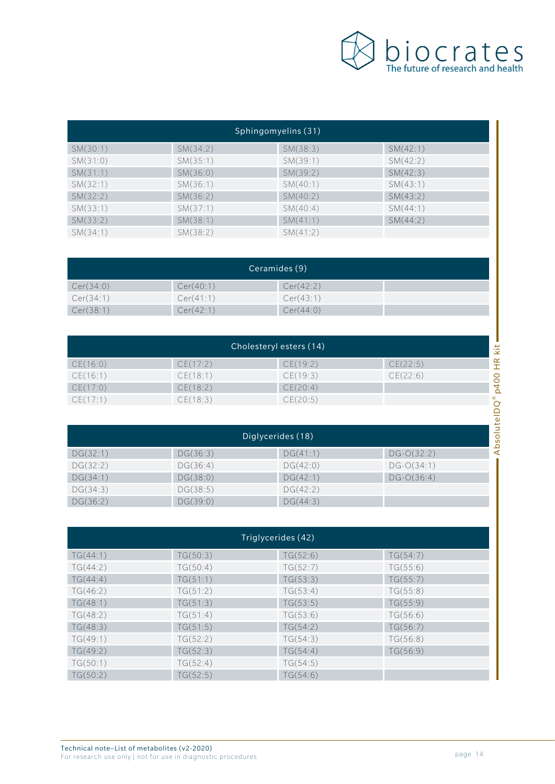

| Sphingomyelins (31) |          |          |          |  |
|---------------------|----------|----------|----------|--|
| SM(30:1)            | SM(34:2) | SM(38:3) | SM(42:1) |  |
| SM(31:0)            | SM(35:1) | SM(39:1) | SM(42:2) |  |
| SM(31:1)            | SM(36:0) | SM(39:2) | SM(42:3) |  |
| SM(32:1)            | SM(36:1) | SM(40:1) | SM(43:1) |  |
| SM(32:2)            | SM(36:2) | SM(40:2) | SM(43:2) |  |
| SM(33:1)            | SM(37:1) | SM(40:4) | SM(44:1) |  |
| SM(33:2)            | SM(38:1) | SM(41:1) | SM(44:2) |  |
| SM(34:1)            | SM(38:2) | SM(41:2) |          |  |

| Ceramides (9) |           |           |  |  |
|---------------|-----------|-----------|--|--|
| Cer(34:0)     | Cer(40:1) | Cer(42:2) |  |  |
| Cer(34:1)     | Cer(41:1) | Cer(43:1) |  |  |
| Cer(38:1)     | Cer(42:1) | Cer(44:0) |  |  |

| Cholesteryl esters (14) |          |                   |              | kit                   |
|-------------------------|----------|-------------------|--------------|-----------------------|
| CE(16:0)                | CE(17:2) | CE(19:2)          | CE(22:5)     | $\propto$<br><b>I</b> |
| CE(16:1)                | CE(18:1) | CE(19:3)          | CE(22:6)     |                       |
| CE(17:0)                | CE(18:2) | CE(20:4)          |              | p400                  |
| CE(17:1)                | CE(18:3) | CE(20:5)          |              | ⊛<br>Ō                |
|                         |          |                   |              | ≏                     |
|                         |          |                   |              | utel                  |
|                         |          | Diglycerides (18) |              | Absol                 |
| DG(32:1)                | DG(36:3) | DG(41:1)          | $DG-O(32:2)$ |                       |

| Diglycerides (18) |          |          |              |  |
|-------------------|----------|----------|--------------|--|
| DG(32:1)          | DG(36:3) | DG(41:1) | $DG-O(32:2)$ |  |
| DG(32:2)          | DG(36:4) | DG(42:0) | $DG-O(34:1)$ |  |
| DG(34:1)          | DG(38:0) | DG(42:1) | $DG-O(36:4)$ |  |
| DG(34:3)          | DG(38:5) | DG(42:2) |              |  |
| DG(36:2)          | DG(39:0) | DG(44:3) |              |  |

| Triglycerides (42) |          |          |          |  |
|--------------------|----------|----------|----------|--|
| TG(44:1)           | TG(50:3) | TG(52:6) | TG(54:7) |  |
| TG(44:2)           | TG(50:4) | TG(52:7) | TG(55:6) |  |
| TG(44:4)           | TG(51:1) | TG(53:3) | TG(55:7) |  |
| TG(46:2)           | TG(51:2) | TG(53:4) | TG(55:8) |  |
| TG(48:1)           | TG(51:3) | TG(53:5) | TG(55:9) |  |
| TG(48:2)           | TG(51:4) | TG(53:6) | TG(56:6) |  |
| TG(48:3)           | TG(51:5) | TG(54:2) | TG(56:7) |  |
| TG(49:1)           | TG(52:2) | TG(54:3) | TG(56:8) |  |
| TG(49:2)           | TG(52:3) | TG(54:4) | TG(56:9) |  |
| TG(50:1)           | TG(52:4) | TG(54:5) |          |  |
| TG(50:2)           | TG(52:5) | TG(54:6) |          |  |

Ï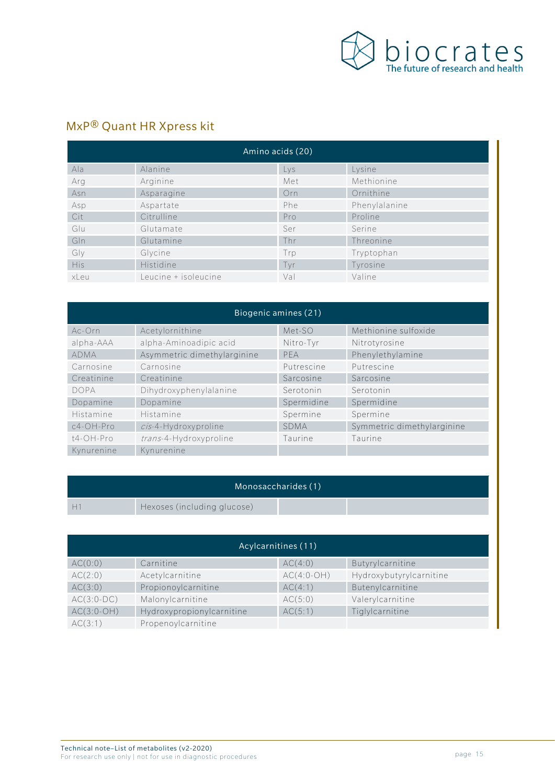

## MxP® Quant HR Xpress kit

| Amino acids (20) |                      |     |               |  |
|------------------|----------------------|-----|---------------|--|
| Ala              | Alanine              | Lys | Lysine        |  |
| Arg              | Arginine             | Met | Methionine    |  |
| Asn              | Asparagine           | Orn | Ornithine     |  |
| Asp              | Aspartate            | Phe | Phenylalanine |  |
| Cit              | Citrulline           | Pro | Proline       |  |
| Glu              | Glutamate            | Ser | Serine        |  |
| Gln              | Glutamine            | Thr | Threonine     |  |
| Gly              | Glycine              | Trp | Tryptophan    |  |
| <b>His</b>       | Histidine            | Tvr | Tyrosine      |  |
| xLeu             | Leucine + isoleucine | Val | Valine        |  |

| Biogenic amines (21) |                             |             |                            |  |  |
|----------------------|-----------------------------|-------------|----------------------------|--|--|
| Ac-Orn               | Acetylornithine             | Met-SO      | Methionine sulfoxide       |  |  |
| alpha-AAA            | alpha-Aminoadipic acid      | Nitro-Tyr   | Nitrotyrosine              |  |  |
| <b>ADMA</b>          | Asymmetric dimethylarginine | PFA         | Phenylethylamine           |  |  |
| Carnosine            | Carnosine                   | Putrescine  | Putrescine                 |  |  |
| Creatinine           | Creatinine                  | Sarcosine   | Sarcosine                  |  |  |
| <b>DOPA</b>          | Dihydroxyphenylalanine      | Serotonin   | Serotonin                  |  |  |
| Dopamine             | Dopamine                    | Spermidine  | Spermidine                 |  |  |
| Histamine            | Histamine                   | Spermine    | Spermine                   |  |  |
| $c4$ -OH-Pro         | cis-4-Hydroxyproline        | <b>SDMA</b> | Symmetric dimethylarginine |  |  |
| t4-OH-Pro            | trans-4-Hydroxyproline      | Taurine     | Taurine                    |  |  |
| Kynurenine           | Kynurenine                  |             |                            |  |  |

|   | Monosaccharides (1)         |  |
|---|-----------------------------|--|
| ┡ | Hexoses (including glucose) |  |

| Acylcarnitines (11) |                           |              |                         |  |
|---------------------|---------------------------|--------------|-------------------------|--|
| AC(0:0)             | Carnitine                 | AC(4:0)      | Butyrylcarnitine        |  |
| AC(2:0)             | Acetylcarnitine           | $AC(4:0-OH)$ | Hydroxybutyrylcarnitine |  |
| AC(3:0)             | Propionoylcarnitine       | AC(4:1)      | Butenylcarnitine        |  |
| $AC(3:0-DC)$        | Malonylcarnitine          | AC(5:0)      | Valerylcarnitine        |  |
| $AC(3:0-OH)$        | Hydroxypropionylcarnitine | AC(5:1)      | Tiglylcarnitine         |  |
| AC(3:1)             | Propenoylcarnitine        |              |                         |  |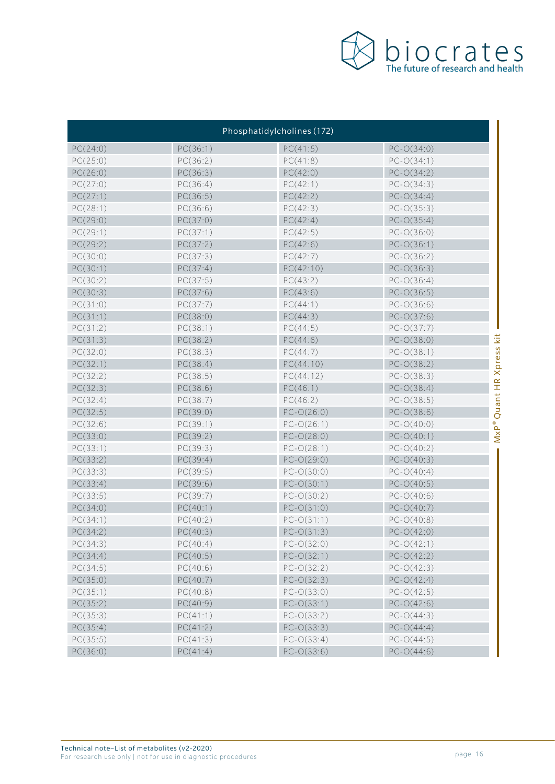

|          |          | Phosphatidylcholines (172) |                               |
|----------|----------|----------------------------|-------------------------------|
| PC(24:0) | PC(36:1) | PC(41:5)                   | $PC-O(34:0)$                  |
| PC(25:0) | PC(36:2) | PC(41:8)                   | $PC-O(34:1)$                  |
| PC(26:0) | PC(36:3) | PC(42:0)                   | $PC-O(34:2)$                  |
| PC(27:0) | PC(36:4) | PC(42:1)                   | $PC-O(34:3)$                  |
| PC(27:1) | PC(36:5) | PC(42:2)                   | $PC-O(34:4)$                  |
| PC(28:1) | PC(36:6) | PC(42:3)                   | $PC-O(35:3)$                  |
| PC(29:0) | PC(37:0) | PC(42:4)                   | $PC-O(35:4)$                  |
| PC(29:1) | PC(37:1) | PC(42:5)                   | $PC-O(36:0)$                  |
| PC(29:2) | PC(37:2) | PC(42:6)                   | $PC-O(36:1)$                  |
| PC(30:0) | PC(37:3) | PC(42:7)                   | $PC-O(36:2)$                  |
| PC(30:1) | PC(37:4) | PC(42:10)                  | $PC-O(36:3)$                  |
| PC(30:2) | PC(37:5) | PC(43:2)                   | $PC-O(36:4)$                  |
| PC(30:3) | PC(37:6) | PC(43:6)                   | $PC-O(36:5)$                  |
| PC(31:0) | PC(37:7) | PC(44:1)                   | $PC-O(36:6)$                  |
| PC(31:1) | PC(38:0) | PC(44:3)                   | $PC-O(37:6)$                  |
| PC(31:2) | PC(38:1) | PC(44:5)                   | $PC-O(37:7)$                  |
| PC(31:3) | PC(38:2) | PC(44:6)                   | kit<br>$PC-O(38:0)$           |
| PC(32:0) | PC(38:3) | PC(44:7)                   | $PC-O(38:1)$                  |
| PC(32:1) | PC(38:4) | PC(44:10)                  | Xpress<br>$PC-O(38:2)$        |
| PC(32:2) | PC(38:5) | PC(44:12)                  | $PC-O(38:3)$                  |
| PC(32:3) | PC(38:6) | PC(46:1)                   | $PC-O(38:4)$                  |
| PC(32:4) | PC(38:7) | PC(46:2)                   | MxP® Quant HR<br>$PC-O(38:5)$ |
| PC(32:5) | PC(39:0) | $PC-O(26:0)$               | $PC-O(38:6)$                  |
| PC(32:6) | PC(39:1) | $PC-O(26:1)$               | $PC-O(40:0)$                  |
| PC(33:0) | PC(39:2) | $PC-O(28:0)$               | $PC-O(40:1)$                  |
| PC(33:1) | PC(39:3) | $PC-O(28:1)$               | $PC-O(40:2)$                  |
| PC(33:2) | PC(39:4) | $PC-O(29:0)$               | $PC-O(40:3)$                  |
| PC(33:3) | PC(39:5) | $PC-O(30:0)$               | $PC-O(40:4)$                  |
| PC(33:4) | PC(39:6) | $PC-O(30:1)$               | $PC-O(40:5)$                  |
| PC(33:5) | PC(39:7) | $PC-O(30:2)$               | $PC-O(40:6)$                  |
| PC(34:0) | PC(40:1) | $PC-O(31:0)$               | $PC-O(40:7)$                  |
| PC(34:1) | PC(40:2) | $PC-O(31:1)$               | $PC-O(40:8)$                  |
| PC(34:2) | PC(40:3) | $PC-O(31:3)$               | $PC-O(42:0)$                  |
| PC(34:3) | PC(40:4) | $PC-O(32:0)$               | $PC-O(42:1)$                  |
| PC(34:4) | PC(40:5) | $PC-O(32:1)$               | $PC-O(42:2)$                  |
| PC(34:5) | PC(40:6) | $PC-O(32:2)$               | $PC-O(42:3)$                  |
| PC(35:0) | PC(40:7) | $PC-O(32:3)$               | $PC-O(42:4)$                  |
| PC(35:1) | PC(40:8) | $PC-O(33:0)$               | $PC-O(42:5)$                  |
| PC(35:2) | PC(40:9) | $PC-O(33:1)$               | $PC-O(42:6)$                  |
| PC(35:3) | PC(41:1) | $PC-O(33:2)$               | $PC-O(44:3)$                  |
| PC(35:4) | PC(41:2) | $PC-O(33:3)$               | $PC-O(44:4)$                  |
| PC(35:5) | PC(41:3) | $PC-O(33:4)$               | $PC-O(44:5)$                  |
| PC(36:0) | PC(41:4) | $PC-O(33:6)$               | $PC-O(44:6)$                  |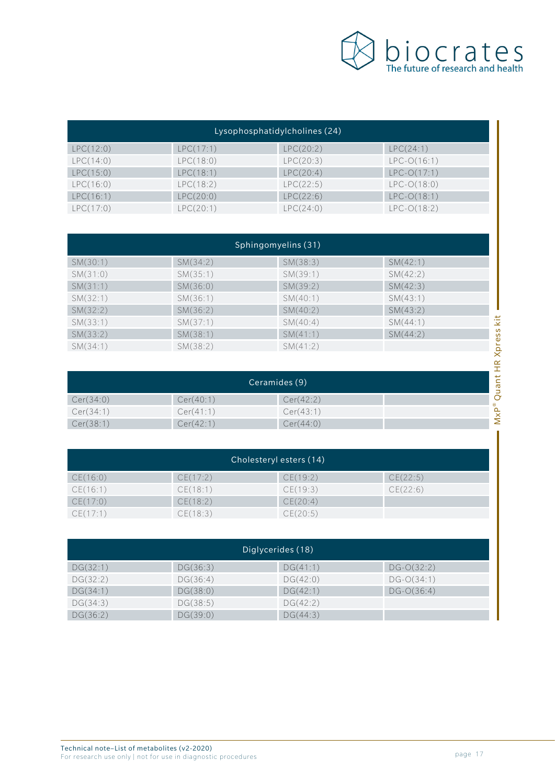

| Lysophosphatidylcholines (24) |           |           |               |
|-------------------------------|-----------|-----------|---------------|
| LPC(12:0)                     | LPC(17:1) | LPC(20:2) | LPC(24:1)     |
| LPC(14:0)                     | LPC(18:0) | LPC(20:3) | $LPC-O(16:1)$ |
| LPC(15:0)                     | LPC(18:1) | LPC(20:4) | $LPC-O(17:1)$ |
| LPC(16:0)                     | LPC(18:2) | LPC(22:5) | $LPC-O(18:0)$ |
| LPC(16:1)                     | LPC(20:0) | LPC(22:6) | $LPC-O(18:1)$ |
| LPC(17:0)                     | LPC(20:1) | LPC(24:0) | $LPC-O(18:2)$ |

| Sphingomyelins (31) |          |          |          |  |
|---------------------|----------|----------|----------|--|
| SM(30:1)            | SM(34:2) | SM(38:3) | SM(42:1) |  |
| SM(31:0)            | SM(35:1) | SM(39:1) | SM(42:2) |  |
| SM(31:1)            | SM(36:0) | SM(39:2) | SM(42:3) |  |
| SM(32:1)            | SM(36:1) | SM(40:1) | SM(43:1) |  |
| SM(32:2)            | SM(36:2) | SM(40:2) | SM(43:2) |  |
| SM(33:1)            | SM(37:1) | SM(40:4) | SM(44:1) |  |
| SM(33:2)            | SM(38:1) | SM(41:1) | SM(44:2) |  |
| SM(34:1)            | SM(38:2) | SM(41:2) |          |  |

| SM(32:2)  | SM(36:2)      | SM(40:2)  | SM(43:2) |                 |
|-----------|---------------|-----------|----------|-----------------|
| SM(33:1)  | SM(37:1)      | SM(40:4)  | SM(44:1) | kit             |
| SM(33:2)  | SM(38:1)      | SM(41:1)  | SM(44:2) |                 |
| SM(34:1)  | SM(38:2)      | SM(41:2)  |          | Xpress          |
|           |               |           |          |                 |
|           |               |           |          |                 |
|           |               |           |          | $E_{\rm H}$     |
|           | Ceramides (9) |           |          |                 |
| Cer(34:0) | Cer(40:1)     | Cer(42:2) |          | uant<br>$\circ$ |
| Cer(34:1) | Cer(41:1)     | Cer(43:1) |          | $M \times P^*$  |

| Cholesteryl esters (14) |          |          |          |
|-------------------------|----------|----------|----------|
| CE(16:0)                | CE(17:2) | CE(19:2) | CE(22:5) |
| CE(16:1)                | CE(18:1) | CE(19:3) | CE(22:6) |
| CE(17:0)                | CE(18:2) | CE(20:4) |          |
| CE(17:1)                | CE(18:3) | CE(20:5) |          |

| Diglycerides (18) |          |          |              |
|-------------------|----------|----------|--------------|
| DG(32:1)          | DG(36:3) | DG(41:1) | $DG-O(32:2)$ |
| DG(32:2)          | DG(36:4) | DG(42:0) | $DG-O(34:1)$ |
| DG(34:1)          | DG(38:0) | DG(42:1) | $DG-O(36:4)$ |
| DG(34:3)          | DG(38:5) | DG(42:2) |              |
| DG(36:2)          | DG(39:0) | DG(44:3) |              |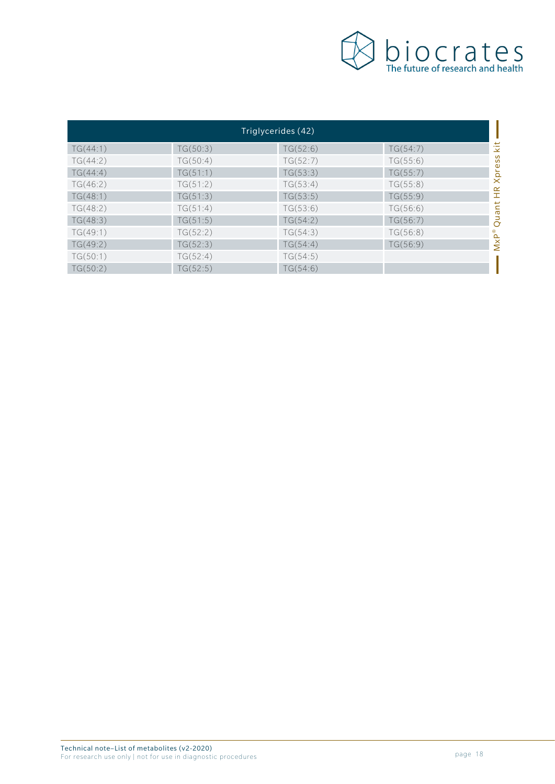

| Triglycerides (42) |          |          |          |                |
|--------------------|----------|----------|----------|----------------|
| TG(44:1)           | TG(50:3) | TG(52:6) | TG(54:7) | iż             |
| TG(44:2)           | TG(50:4) | TG(52:7) | TG(55:6) |                |
| TG(44:4)           | TG(51:1) | TG(53:3) | TG(55:7) | Xpress         |
| TG(46:2)           | TG(51:2) | TG(53:4) | TG(55:8) |                |
| TG(48:1)           | TG(51:3) | TG(53:5) | TG(55:9) | $H_{\rm R}$    |
| TG(48:2)           | TG(51:4) | TG(53:6) | TG(56:6) | Quant          |
| TG(48:3)           | TG(51:5) | TG(54:2) | TG(56:7) |                |
| TG(49:1)           | TG(52:2) | TG(54:3) | TG(56:8) |                |
| TG(49:2)           | TG(52:3) | TG(54:4) | TG(56:9) | $M \times P^*$ |
| TG(50:1)           | TG(52:4) | TG(54:5) |          |                |
| TG(50:2)           | TG(52:5) | TG(54:6) |          |                |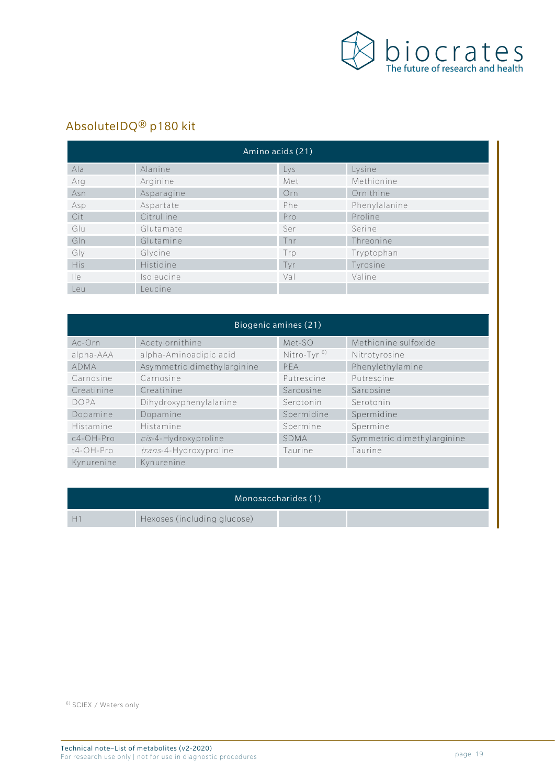

# AbsoluteIDQ® p180 kit

| Amino acids (21) |            |     |               |  |
|------------------|------------|-----|---------------|--|
| Ala              | Alanine    | Lys | Lysine        |  |
| Arg              | Arginine   | Met | Methionine    |  |
| Asn              | Asparagine | Orn | Ornithine     |  |
| Asp              | Aspartate  | Phe | Phenylalanine |  |
| Cit              | Citrulline | Pro | Proline       |  |
| Glu              | Glutamate  | Ser | Serine        |  |
| GIn              | Glutamine  | Thr | Threonine     |  |
| Gly              | Glycine    | Trp | Tryptophan    |  |
| <b>His</b>       | Histidine  | Tyr | Tyrosine      |  |
| $\mathsf{He}$    | Isoleucine | Val | Valine        |  |
| Leu              | Leucine    |     |               |  |

| Biogenic amines (21) |                             |                         |                            |  |
|----------------------|-----------------------------|-------------------------|----------------------------|--|
| Ac-Orn               | Acetylornithine             | Met-SO                  | Methionine sulfoxide       |  |
| alpha-AAA            | alpha-Aminoadipic acid      | Nitro-Tyr <sup>6)</sup> | Nitrotyrosine              |  |
| <b>ADMA</b>          | Asymmetric dimethylarginine | PFA                     | Phenylethylamine           |  |
| Carnosine            | Carnosine                   | Putrescine              | Putrescine                 |  |
| Creatinine           | Creatinine                  | Sarcosine               | Sarcosine                  |  |
| <b>DOPA</b>          | Dihydroxyphenylalanine      | Serotonin               | Serotonin                  |  |
| Dopamine             | Dopamine                    | Spermidine              | Spermidine                 |  |
| Histamine            | Histamine                   | Spermine                | Spermine                   |  |
| $c4$ -OH-Pro         | cis-4-Hydroxyproline        | <b>SDMA</b>             | Symmetric dimethylarginine |  |
| t4-OH-Pro            | trans-4-Hydroxyproline      | Taurine                 | Taurine                    |  |
| Kynurenine           | Kynurenine                  |                         |                            |  |

| Monosaccharides (1) |                             |  |  |
|---------------------|-----------------------------|--|--|
|                     | Hexoses (including glucose) |  |  |

6) SCIEX / Waters only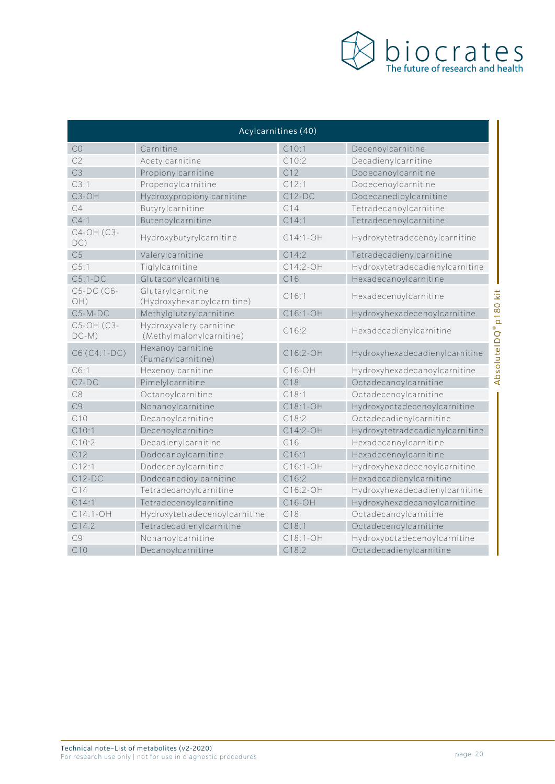

| Acylcarnitines (40)   |                                                     |                 |                                                  |
|-----------------------|-----------------------------------------------------|-----------------|--------------------------------------------------|
| CO                    | Carnitine                                           | C10:1           | Decenoylcarnitine                                |
| C <sub>2</sub>        | Acetylcarnitine                                     | C10:2           | Decadienylcarnitine                              |
| C <sub>3</sub>        | Propionylcarnitine                                  | C12             | Dodecanoylcarnitine                              |
| C3:1                  | Propenoylcarnitine                                  | C12:1           | Dodecenoylcarnitine                              |
| C3-OH                 | Hydroxypropionylcarnitine                           | $C12-DC$        | Dodecanedioylcarnitine                           |
| C4                    | Butyrylcarnitine                                    | C14             | Tetradecanoylcarnitine                           |
| C4:1                  | Butenoylcarnitine                                   | C14:1           | Tetradecenoylcarnitine                           |
| C4-OH (C3-<br>DC)     | Hydroxybutyrylcarnitine                             | C14:1-OH        | Hydroxytetradecenoylcarnitine                    |
| C <sub>5</sub>        | Valerylcarnitine                                    | C14:2           | Tetradecadienylcarnitine                         |
| C.5:1                 | Tiglylcarnitine                                     | $C14:2-OH$      | Hydroxytetradecadienylcarnitine                  |
| $C5:1-DC$             | Glutaconylcarnitine                                 | C16             | Hexadecanoylcarnitine                            |
| C5-DC (C6-<br>OH)     | Glutarylcarnitine<br>(Hydroxyhexanoylcarnitine)     | C16:1           | Hexadecenoylcarnitine                            |
| $C5-M-DC$             | Methylglutarylcarnitine                             | C16:1-OH        | Hydroxyhexadecenoylcarnitine                     |
| C5-OH (C3-<br>$DC-M)$ | Hydroxyvalerylcarnitine<br>(Methylmalonylcarnitine) | C16:2           | AbsoluteIDQ® p180 kit<br>Hexadecadienylcarnitine |
| C6 (C4:1-DC)          | Hexanoylcarnitine<br>(Fumarylcarnitine)             | C16:2-OH        | Hydroxyhexadecadienylcarnitine                   |
| C6:1                  | Hexenoylcarnitine                                   | C16-OH          | Hydroxyhexadecanoylcarnitine                     |
| $C7-DC$               | Pimelylcarnitine                                    | C18             | Octadecanoylcarnitine                            |
| C8                    | Octanoylcarnitine                                   | C18:1           | Octadecenoylcarnitine                            |
| C <sub>9</sub>        | Nonanoylcarnitine                                   | C18:1-OH        | Hydroxyoctadecenoylcarnitine                     |
| C10                   | Decanoylcarnitine                                   | C18:2           | Octadecadienylcarnitine                          |
| C10:1                 | Decenoylcarnitine                                   | C14:2-OH        | Hydroxytetradecadienylcarnitine                  |
| C10:2                 | Decadienylcarnitine                                 | C <sub>16</sub> | Hexadecanoylcarnitine                            |
| C12                   | Dodecanoylcarnitine                                 | C16:1           | Hexadecenoylcarnitine                            |
| C12:1                 | Dodecenoylcarnitine                                 | C16:1-OH        | Hydroxyhexadecenoylcarnitine                     |
| $C12-DC$              | Dodecanedioylcarnitine                              | C16:2           | Hexadecadienylcarnitine                          |
| C14                   | Tetradecanoylcarnitine                              | C16:2-OH        | Hydroxyhexadecadienylcarnitine                   |
| C14:1                 | Tetradecenoylcarnitine                              | $C16-OH$        | Hydroxyhexadecanoylcarnitine                     |
| C14:1-OH              | Hydroxytetradecenoylcarnitine                       | C18             | Octadecanoylcarnitine                            |
| C14:2                 | Tetradecadienylcarnitine                            | C18:1           | Octadecenoylcarnitine                            |
| C <sub>9</sub>        | Nonanoylcarnitine                                   | C18:1-OH        | Hydroxyoctadecenoylcarnitine                     |
| C10                   | Decanoylcarnitine                                   | C18:2           | Octadecadienylcarnitine                          |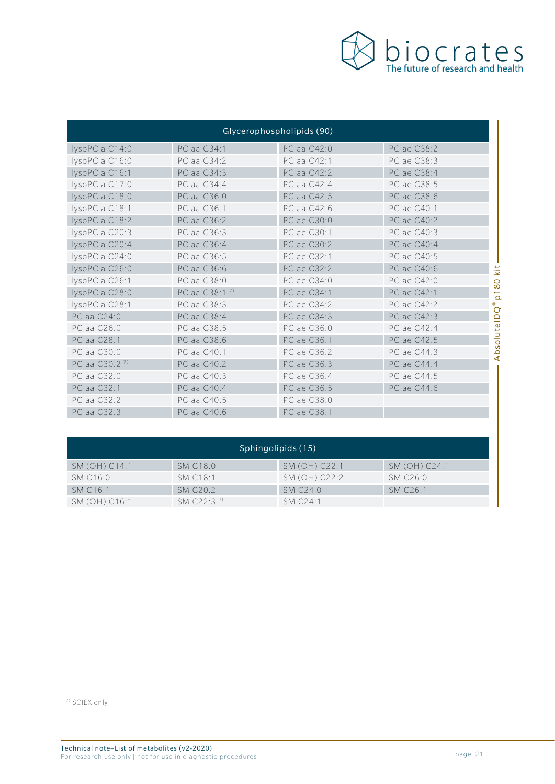

| Glycerophospholipids (90) |                          |             |             |                       |
|---------------------------|--------------------------|-------------|-------------|-----------------------|
| lysoPC a C14:0            | PC aa C34:1              | PC aa C42:0 | PC ae C38:2 |                       |
| lysoPC a C16:0            | PC aa C34:2              | PC aa C42:1 | PC ae C38:3 |                       |
| lysoPC a C16:1            | PC aa C34:3              | PC aa C42:2 | PC ae C38:4 |                       |
| lysoPC a C17:0            | PC aa C34:4              | PC aa C42:4 | PC ae C38:5 |                       |
| lysoPC a C18:0            | PC aa C36:0              | PC aa C42:5 | PC ae C38:6 |                       |
| lysoPC a C18:1            | PC aa C36:1              | PC aa C42:6 | PC ae C40:1 |                       |
| lysoPC a C18:2            | PC aa C36:2              | PC ae C30:0 | PC ae C40:2 |                       |
| lysoPC a C20:3            | PC aa C36:3              | PC ae C30:1 | PC ae C40:3 |                       |
| lysoPC a C20:4            | PC aa C36:4              | PC ae C30:2 | PC ae C40:4 |                       |
| lysoPC a C24:0            | PC aa C36:5              | PC ae C32:1 | PC ae C40:5 |                       |
| lysoPC a C26:0            | PC aa C36:6              | PC ae C32:2 | PC ae C40:6 | št                    |
| lysoPC a C26:1            | PC aa C38:0              | PC ae C34:0 | PC ae C42:0 | $\overline{8}$        |
| lysoPC a C28:0            | PC aa C38:1 <sup>7</sup> | PC ae C34:1 | PC ae C42:1 | $\overline{\Omega}$   |
| lysoPC a C28:1            | PC aa C38:3              | PC ae C34:2 | PC ae C42:2 | $^{\circ}$<br>$\circ$ |
| PC aa C24:0               | PC aa C38:4              | PC ae C34:3 | PC ae C42:3 |                       |
| PC aa C26:0               | PC aa C38:5              | PC ae C36:0 | PC ae C42:4 |                       |
| PC aa C28:1               | PC aa C38:6              | PC ae C36:1 | PC ae C42:5 | AbsoluteID            |
| PC aa C30:0               | PC aa C40:1              | PC ae C36:2 | PC ae C44:3 |                       |
| PC aa C30:2 <sup>7)</sup> | PC aa C40:2              | PC ae C36:3 | PC ae C44:4 |                       |
| PC aa C32:0               | PC aa C40:3              | PC ae C36:4 | PC ae C44:5 |                       |
| PC aa C32:1               | PC aa C40:4              | PC ae C36:5 | PC ae C44:6 |                       |
| PC aa C32:2               | PC aa C40:5              | PC ae C38:0 |             |                       |
| PC aa C32:3               | PC aa C40:6              | PC ae C38:1 |             |                       |

| Sphingolipids (15)   |                |               |                      |
|----------------------|----------------|---------------|----------------------|
| SM (OH) C14:1        | SM C18:0       | SM (OH) C22:1 | SM (OH) C24:1        |
| SM C16:0             | SM C18:1       | SM (OH) C22:2 | SM C26:0             |
| SM C <sub>16:1</sub> | SMC20.2        | SMC24:0       | SM C <sub>26:1</sub> |
| SM (OH) C16:1        | SM $C22.3^{7}$ | SM C24.1      |                      |

7) SCIEX only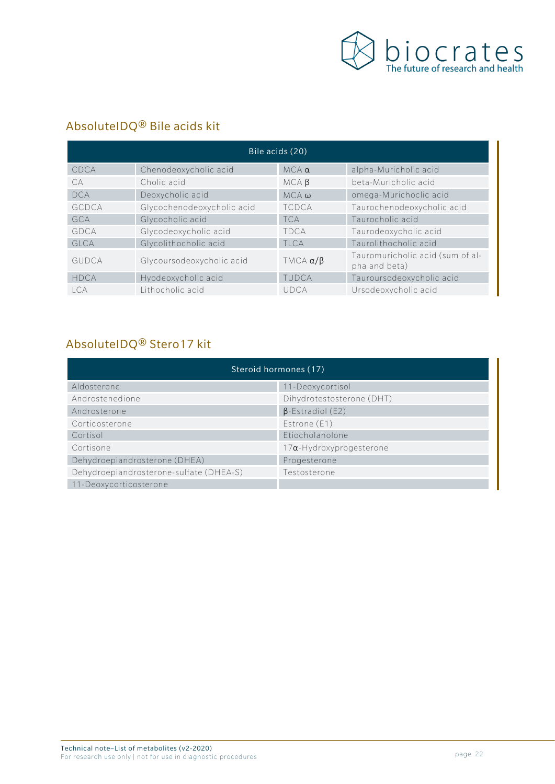

## AbsoluteIDQ® Bile acids kit

| Bile acids (20) |                            |                     |                                                   |  |
|-----------------|----------------------------|---------------------|---------------------------------------------------|--|
| CDCA            | Chenodeoxycholic acid      | $MCA \alpha$        | alpha-Muricholic acid                             |  |
| CA              | Cholic acid                | MCAB                | beta-Muricholic acid                              |  |
| <b>DCA</b>      | Deoxycholic acid           | $MCA$ $\omega$      | omega-Murichoclic acid                            |  |
| GCDCA           | Glycochenodeoxycholic acid | <b>TCDCA</b>        | Taurochenodeoxycholic acid                        |  |
| GCA             | Glycocholic acid           | <b>TCA</b>          | Taurocholic acid                                  |  |
| GDCA            | Glycodeoxycholic acid      | <b>TDCA</b>         | Taurodeoxycholic acid                             |  |
| GLCA            | Glycolithocholic acid      | TI CA               | Taurolithocholic acid                             |  |
| <b>GUDCA</b>    | Glycoursodeoxycholic acid  | TMCA $\alpha/\beta$ | Tauromuricholic acid (sum of al-<br>pha and beta) |  |
| <b>HDCA</b>     | Hyodeoxycholic acid        | TUDCA               | Tauroursodeoxycholic acid                         |  |
| l CA            | Lithocholic acid           | UDCA                | Ursodeoxycholic acid                              |  |

# AbsoluteIDQ® Stero17 kit

| Steroid hormones (17)                   |                                 |  |  |
|-----------------------------------------|---------------------------------|--|--|
| Aldosterone                             | 11-Deoxycortisol                |  |  |
| Androstenedione                         | Dihydrotestosterone (DHT)       |  |  |
| Androsterone                            | $\beta$ -Estradiol (E2)         |  |  |
| Corticosterone                          | Estrone (E1)                    |  |  |
| Cortisol                                | Etiocholanolone                 |  |  |
| Cortisone                               | $17\alpha$ -Hydroxyprogesterone |  |  |
| Dehydroepiandrosterone (DHEA)           | Progesterone                    |  |  |
| Dehydroepiandrosterone-sulfate (DHEA-S) | Testosterone                    |  |  |
| 11-Deoxycorticosterone                  |                                 |  |  |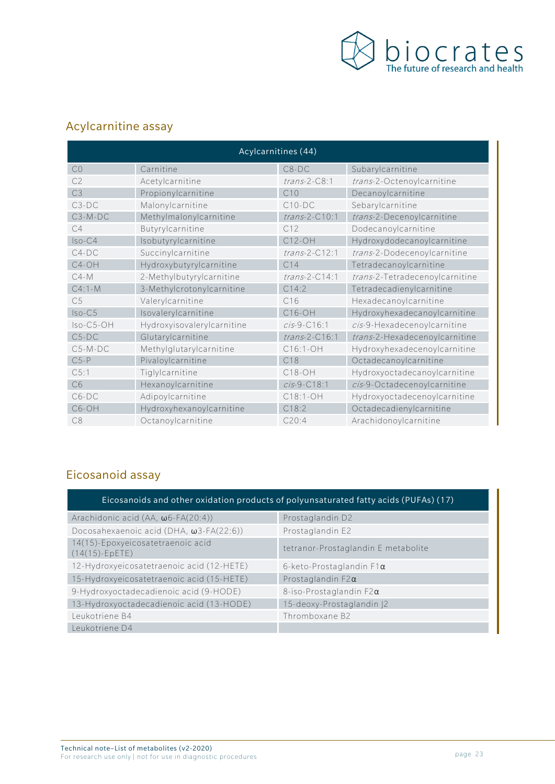

## Acylcarnitine assay

| Acylcarnitines (44) |                            |                 |                                |  |
|---------------------|----------------------------|-----------------|--------------------------------|--|
| CO                  | Carnitine                  | $C8-DC$         | Subarylcarnitine               |  |
| C <sub>2</sub>      | Acetylcarnitine            | $trans-2-C8:1$  | trans-2-Octenoylcarnitine      |  |
| C3                  | Propionylcarnitine         | C10             | Decanoylcarnitine              |  |
| $C3-DC$             | Malonylcarnitine           | $C10-DC$        | Sebarylcarnitine               |  |
| $C3-M-DC$           | Methylmalonylcarnitine     | $trans-2-C10:1$ | trans-2-Decenoylcarnitine      |  |
| C4                  | Butyrylcarnitine           | C12             | Dodecanoylcarnitine            |  |
| $Iso-C4$            | Isobutyrylcarnitine        | C12-OH          | Hydroxydodecanoylcarnitine     |  |
| $C4-DC$             | Succinylcarnitine          | $trans-2-C12:1$ | trans-2-Dodecenoylcarnitine    |  |
| C4-OH               | Hydroxybutyrylcarnitine    | C <sub>14</sub> | Tetradecanoylcarnitine         |  |
| $C4 - M$            | 2-Methylbutyrylcarnitine   | $trans-2-C14:1$ | trans-2-Tetradecenoylcarnitine |  |
| $C4:1-M$            | 3-Methylcrotonylcarnitine  | C14:2           | Tetradecadienylcarnitine       |  |
| C <sub>5</sub>      | Valerylcarnitine           | C16             | Hexadecanoylcarnitine          |  |
| $Iso-C5$            | Isovalerylcarnitine        | $C16-OH$        | Hydroxyhexadecanoylcarnitine   |  |
| Iso-C5-OH           | Hydroxyisovalerylcarnitine | $cis-9-C16:1$   | cis-9-Hexadecenoylcarnitine    |  |
| $C5-DC$             | Glutarylcarnitine          | $trans-2-C16:1$ | trans-2-Hexadecenoylcarnitine  |  |
| $C5-M-DC$           | Methylglutarylcarnitine    | C16:1-OH        | Hydroxyhexadecenoylcarnitine   |  |
| $C5-P$              | Pivaloylcarnitine          | C18             | Octadecanoylcarnitine          |  |
| C5:1                | Tiglylcarnitine            | $C18-OH$        | Hydroxyoctadecanoylcarnitine   |  |
| C <sub>6</sub>      | Hexanoylcarnitine          | $cis-9-C18:1$   | cis-9-Octadecenoylcarnitine    |  |
| $C6-DC$             | Adipoylcarnitine           | C18:1-OH        | Hydroxyoctadecenoylcarnitine   |  |
| C6-OH               | Hydroxyhexanoylcarnitine   | C18:2           | Octadecadienylcarnitine        |  |
| C8                  | Octanoylcarnitine          | C20:4           | Arachidonoylcarnitine          |  |

## Eicosanoid assay

| Eicosanoids and other oxidation products of polyunsaturated fatty acids (PUFAs) (17) |                                     |  |
|--------------------------------------------------------------------------------------|-------------------------------------|--|
| Arachidonic acid $(AA, \omega6$ -FA $(20:4)$ )                                       | Prostaglandin D2                    |  |
| Docosahexaenoic acid (DHA, $\omega$ 3-FA(22:6))                                      | Prostaglandin E2                    |  |
| 14(15)-Epoxyeicosatetraenoic acid<br>$(14(15)-EpETE)$                                | tetranor-Prostaglandin E metabolite |  |
| 12-Hydroxyeicosatetraenoic acid (12-HETE)                                            | 6-keto-Prostaglandin $F1\alpha$     |  |
| 15-Hydroxyeicosatetraenoic acid (15-HETE)                                            | Prostaglandin $F2\alpha$            |  |
| 9-Hydroxyoctadecadienoic acid (9-HODE)                                               | 8-iso-Prostaglandin $F2\alpha$      |  |
| 13-Hydroxyoctadecadienoic acid (13-HODE)                                             | 15-deoxy-Prostaglandin  2           |  |
| Leukotriene B4                                                                       | Thromboxane B2                      |  |
| Leukotriene D4                                                                       |                                     |  |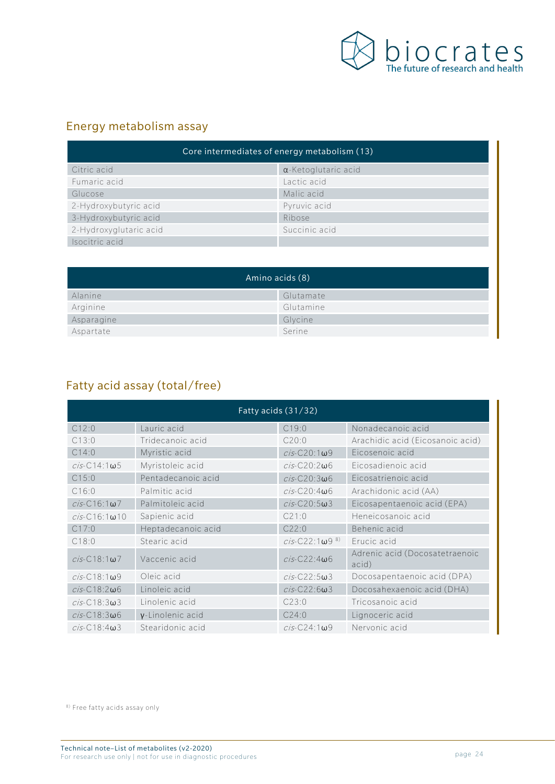

#### Energy metabolism assay

| Core intermediates of energy metabolism (13) |                             |  |
|----------------------------------------------|-----------------------------|--|
| Citric acid                                  | $\alpha$ -Ketoglutaric acid |  |
| Fumaric acid                                 | Lactic acid                 |  |
| Glucose                                      | Malic acid                  |  |
| 2-Hydroxybutyric acid                        | Pyruvic acid                |  |
| 3-Hydroxybutyric acid                        | Ribose                      |  |
| 2-Hydroxyglutaric acid                       | Succinic acid               |  |
| Isocitric acid                               |                             |  |

| Amino acids (8) |           |
|-----------------|-----------|
| Alanine         | Glutamate |
| Arginine        | Glutamine |
| Asparagine      | Glycine   |
| Aspartate       | Serine    |

## Fatty acid assay (total/free)

| Fatty acids (31/32)      |                     |                              |                                         |
|--------------------------|---------------------|------------------------------|-----------------------------------------|
| C12:0                    | Lauric acid         | C19:0                        | Nonadecanoic acid                       |
| C13:0                    | Tridecanoic acid    | C20:0                        | Arachidic acid (Eicosanoic acid)        |
| C14:0                    | Myristic acid       | $cis$ -C20:1 $\omega$ 9      | Eicosenoic acid                         |
| $cis$ -C14:1 $\omega$ 5  | Myristoleic acid    | $cis$ -C20:2 $\omega$ 6      | Eicosadienoic acid                      |
| C15:0                    | Pentadecanoic acid  | $cis$ -C20:3 $\omega$ 6      | Eicosatrienoic acid                     |
| C16:0                    | Palmitic acid       | $cis$ -C20:4 $\omega$ 6      | Arachidonic acid (AA)                   |
| $cis$ -C16:1 $\omega$ 7  | Palmitoleic acid    | $cis$ -C20:5 $\omega$ 3      | Eicosapentaenoic acid (EPA)             |
| $cis$ -C16:1 $\omega$ 10 | Sapienic acid       | C21:0                        | Heneicosanoic acid                      |
| C17:0                    | Heptadecanoic acid  | C22:0                        | Behenic acid                            |
| C18:0                    | Stearic acid        | $cis$ -C22:1ω9 <sup>8)</sup> | Erucic acid                             |
| $cis$ -C18:1 $\omega$ 7  | Vaccenic acid       | $cis$ -C22:4 $\omega$ 6      | Adrenic acid (Docosatetraenoic<br>acid) |
| $cis$ -C18:1 $\omega$ 9  | Oleic acid          | $cis$ -C22:5 $\omega$ 3      | Docosapentaenoic acid (DPA)             |
| $cis$ -C18:2 $\omega$ 6  | Linoleic acid       | $cis$ -C22:6 $\omega$ 3      | Docosahexaenoic acid (DHA)              |
| $cis$ -C18:3 $\omega$ 3  | Linolenic acid      | C23:0                        | Tricosanoic acid                        |
| $cis$ -C18:3 $\omega$ 6  | $v$ -Linolenic acid | C24:0                        | Lignoceric acid                         |
| $cis$ -C18:4 $\omega$ 3  | Stearidonic acid    | $cis$ -C24:1 $\omega$ 9      | Nervonic acid                           |

8) Free fatty acids assay only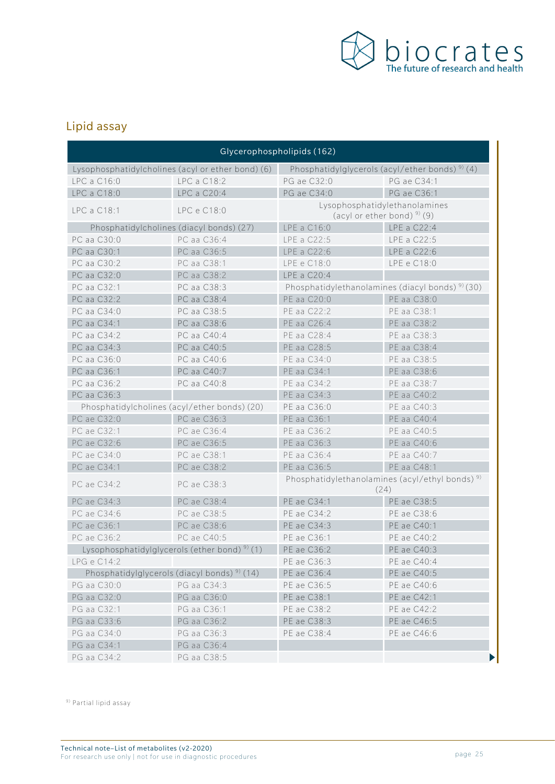

## Lipid assay

| Glycerophospholipids (162) |                                                          |                                                                 |                                                            |
|----------------------------|----------------------------------------------------------|-----------------------------------------------------------------|------------------------------------------------------------|
|                            | Lysophosphatidylcholines (acyl or ether bond) (6)        | Phosphatidylglycerols (acyl/ether bonds) <sup>9)</sup> (4)      |                                                            |
| LPC a C16:0                | LPC a C18:2                                              | PG ae C32:0                                                     | PG ae C34:1                                                |
| LPC a C18:0                | LPC a C20:4                                              | PG ae C34:0                                                     | PG ae C36:1                                                |
| LPC a C18:1                | LPC e C18:0                                              | Lysophosphatidylethanolamines<br>(acyl or ether bond) $9$ ) (9) |                                                            |
|                            | Phosphatidylcholines (diacyl bonds) (27)                 | LPE a C16:0                                                     | LPE a C22:4                                                |
| PC aa C30:0                | PC aa C36:4                                              | LPE a C22:5                                                     | LPE a C22:5                                                |
| PC aa C30:1                | PC aa C36:5                                              | LPE a C22:6                                                     | LPE a C22:6                                                |
| PC aa C30:2                | PC aa C38:1                                              | LPE e C18:0                                                     | LPE e C18:0                                                |
| PC aa C32:0                | PC aa C38:2                                              | LPE a C20:4                                                     |                                                            |
| PC aa C32:1                | PC aa C38:3                                              | Phosphatidylethanolamines (diacyl bonds) <sup>9)</sup> (30)     |                                                            |
| PC aa C32:2                | PC aa C38:4                                              | PE aa C20:0                                                     | PE aa C38:0                                                |
| PC aa C34:0                | PC aa C38:5                                              | PE aa C22:2                                                     | PE aa C38:1                                                |
| PC aa C34:1                | PC aa C38:6                                              | PE aa C26:4                                                     | PE aa C38:2                                                |
| PC aa C34:2                | PC aa C40:4                                              | PE aa C28:4                                                     | PE aa C38:3                                                |
| PC aa C34:3                | PC aa C40:5                                              | PE aa C28:5                                                     | PE aa C38:4                                                |
| PC aa C36:0                | PC aa C40:6                                              | PE aa C34:0                                                     | PE aa C38:5                                                |
| PC aa C36:1                | PC aa C40:7                                              | PE aa C34:1                                                     | PE aa C38:6                                                |
| PC aa C36:2                | PC aa C40:8                                              | PE aa C34:2                                                     | PE aa C38:7                                                |
| PC aa C36:3                |                                                          | PE aa C34:3                                                     | PE aa C40:2                                                |
|                            | Phosphatidylcholines (acyl/ether bonds) (20)             | PE aa C36:0                                                     | PE aa C40:3                                                |
| PC ae C32:0                | PC ae C36:3                                              | PE aa C36:1                                                     | PE aa C40:4                                                |
| PC ae C32:1                | PC ae C36:4                                              | PE aa C36:2                                                     | PE aa C40:5                                                |
| PC ae C32:6                | PC ae C36:5                                              | PE aa C36:3                                                     | PE aa C40:6                                                |
| PC ae C34:0                | PC ae C38:1                                              | PE aa C36:4                                                     | PE aa C40:7                                                |
| PC ae C34:1                | PC ae C38:2                                              | PE aa C36:5                                                     | PE aa C48:1                                                |
| PC ae C34:2                | PC ae C38:3                                              | (24)                                                            | Phosphatidylethanolamines (acyl/ethyl bonds) <sup>9)</sup> |
| PC ae C34:3                | PC ae C38:4                                              | PE ae C34:1                                                     | PE ae C38:5                                                |
| PC ae C34:6                | PC ae C38:5                                              | PE ae C34:2                                                     | PE ae C38:6                                                |
| PC ae C36:1                | PC ae C38:6                                              | PE ae C34:3                                                     | PE ae C40:1                                                |
| PC ae C36:2                | PC ae C40:5                                              | PE ae C36:1                                                     | PE ae C40:2                                                |
|                            | Lysophosphatidylglycerols (ether bond) <sup>9)</sup> (1) | PE ae C36:2                                                     | PE ae C40:3                                                |
| LPG e C14:2                |                                                          | PE ae C36:3                                                     | PE ae C40:4                                                |
|                            | Phosphatidylglycerols (diacyl bonds) <sup>9)</sup> (14)  | PE ae C36:4                                                     | PE ae C40:5                                                |
| PG aa C30:0                | PG aa C34:3                                              | PE ae C36:5                                                     | PE ae C40:6                                                |
| PG aa C32:0                | PG aa C36:0                                              | PE ae C38:1                                                     | PE ae C42:1                                                |
| PG aa C32:1                | PG aa C36:1                                              | PE ae C38:2                                                     | PE ae C42:2                                                |
| PG aa C33:6                | PG aa C36:2                                              | PE ae C38:3                                                     | PE ae C46:5                                                |
| PG aa C34:0                | PG aa C36:3                                              | PE ae C38:4                                                     | PE ae C46:6                                                |
| PG aa C34:1                | PG aa C36:4                                              |                                                                 |                                                            |
| PG aa C34:2                | PG aa C38:5                                              |                                                                 |                                                            |

9) Partial lipid assay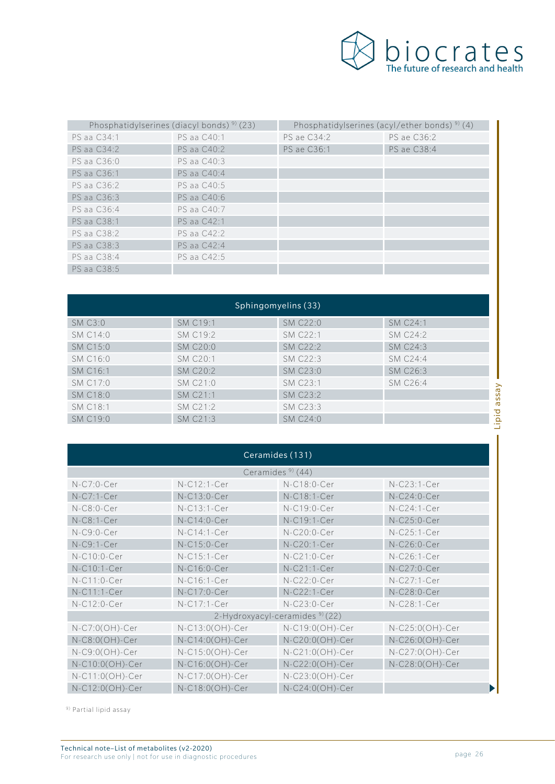

|             | Phosphatidylserines (diacyl bonds) <sup>9)</sup> (23) | Phosphatidylserines (acyl/ether bonds) <sup>9)</sup> (4) |             |
|-------------|-------------------------------------------------------|----------------------------------------------------------|-------------|
| PS aa C34:1 | PS aa C40:1                                           | PS ae C34:2                                              | PS ae C36:2 |
| PS aa C34:2 | PS aa C40:2                                           | PS ae C36:1                                              | PS ae C38:4 |
| PS aa C36:0 | PS aa C40:3                                           |                                                          |             |
| PS aa C36:1 | PS aa C40:4                                           |                                                          |             |
| PS aa C36:2 | PS aa C40:5                                           |                                                          |             |
| PS aa C36:3 | PS aa C40:6                                           |                                                          |             |
| PS aa C36:4 | PS aa C40:7                                           |                                                          |             |
| PS aa C38:1 | PS aa C42:1                                           |                                                          |             |
| PS aa C38:2 | PS aa C42:2                                           |                                                          |             |
| PS aa C38:3 | PS aa C42:4                                           |                                                          |             |
| PS aa C38:4 | PS aa C42:5                                           |                                                          |             |
| PS aa C38:5 |                                                       |                                                          |             |

| Sphingomyelins (33) |          |                      |
|---------------------|----------|----------------------|
| SM C19:1            | SM C22:0 | SM C24:1             |
| SM C19:2            | SM C22:1 | SM C24:2             |
| SM C20:0            | SM C22:2 | SM C24:3             |
| SM C20:1            | SM C22:3 | SM C24:4             |
| <b>SM C20:2</b>     | SM C23:0 | SM C26:3             |
| SM C21:0            | SM C23:1 | SM C <sub>26:4</sub> |
| SM C21:1            | SM C23:2 |                      |
| SM C21:2            | SM C23:3 |                      |
| SM C21:3            | SM C24:0 |                      |
|                     |          |                      |

| Ceramides (131)                           |                 |                    |                 |
|-------------------------------------------|-----------------|--------------------|-----------------|
|                                           |                 | Ceramides $9$ (44) |                 |
| $N-C7:0-Cer$                              | N-C12:1-Cer     | N-C18:0-Cer        | N-C23:1-Cer     |
| $N-C7:1-Cer$                              | N-C13:0-Cer     | N-C18:1-Cer        | N-C24:0-Cer     |
| $N-C8:0-Cer$                              | N-C13:1-Cer     | N-C19:0-Cer        | N-C24:1-Cer     |
| $N-C8:1-Cer$                              | $N-C14:0-Cer$   | N-C19:1-Cer        | N-C25:0-Cer     |
| $N-C9:0-Cer$                              | N-C14:1-Cer     | N-C20:0-Cer        | N-C25:1-Cer     |
| $N-C9:1-Cer$                              | N-C15:0-Cer     | N-C20:1-Cer        | N-C26:0-Cer     |
| N-C10:0-Cer                               | N-C15:1-Cer     | N-C21:0-Cer        | N-C26:1-Cer     |
| N-C10:1-Cer                               | N-C16:0-Cer     | N-C21:1-Cer        | N-C27:0-Cer     |
| N-C11:0-Cer                               | N-C16:1-Cer     | N-C22:0-Cer        | N-C27:1-Cer     |
| N-C11:1-Cer                               | N-C17:0-Cer     | N-C22:1-Cer        | N-C28:0-Cer     |
| N-C12:0-Cer                               | N-C17:1-Cer     | N-C23:0-Cer        | N-C28:1-Cer     |
| 2-Hydroxyacyl-ceramides <sup>9</sup> (22) |                 |                    |                 |
| $N-C7:0(OH)-Cer$                          | N-C13:0(OH)-Cer | N-C19:0(OH)-Cer    | N-C25:0(OH)-Cer |
| $N-C8:0(OH)-Cer$                          | N-C14:0(OH)-Cer | N-C20:0(OH)-Cer    | N-C26:0(OH)-Cer |
| $N-C9:0(OH)-Cer$                          | N-C15:0(OH)-Cer | N-C21:0(OH)-Cer    | N-C27:0(OH)-Cer |
| N-C10:0(OH)-Cer                           | N-C16:0(OH)-Cer | N-C22:0(OH)-Cer    | N-C28:0(OH)-Cer |
| N-C11:0(OH)-Cer                           | N-C17:0(OH)-Cer | N-C23:0(OH)-Cer    |                 |
| N-C12:0(OH)-Cer                           | N-C18:0(OH)-Cer | N-C24:0(OH)-Cer    | Þ               |

9) Partial lipid assay

Ï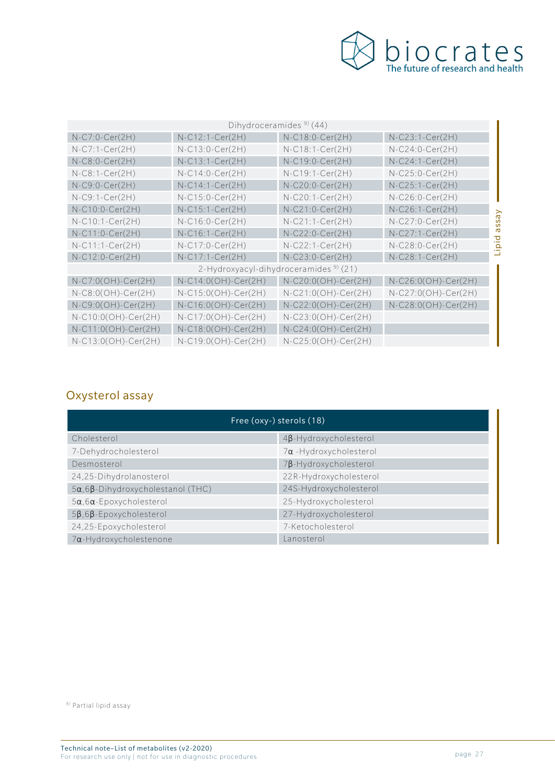

| Dihydroceramides <sup>9)</sup> (44)               |                       |                       |                     |
|---------------------------------------------------|-----------------------|-----------------------|---------------------|
| $N-C7:0-Cer(2H)$                                  | $N-C12:1-Cer(2H)$     | $N-C18:0-Cer(2H)$     | $N-C23:1-Cer(2H)$   |
| $N-C7:1-Cer(2H)$                                  | $N-C13:0-Cer(2H)$     | $N-C18:1-Cer(2H)$     | $N-C24:0-Cer(2H)$   |
| $N-C8:0-Cer(2H)$                                  | $N-C13:1-Cer(2H)$     | $N-C19:0-Cer(2H)$     | $N-C24:1-Cer(2H)$   |
| $N-C8:1-Cer(2H)$                                  | $N$ -C14:0-Cer(2H)    | $N-C19:1-Cer(2H)$     | $N-C25:0-Cer(2H)$   |
| $N-C9:0-Cer(2H)$                                  | $N-C14:1-Cer(2H)$     | $N-C20:0-Cer(2H)$     | $N-C25:1-Cer(2H)$   |
| $N-C9:1-Cer(2H)$                                  | $N-C15:0-Cer(2H)$     | $N-C20:1-Cer(2H)$     | $N-C26:0-Cer(2H)$   |
| $N-C10:0-Cer(2H)$                                 | $N-C15:1-Cer(2H)$     | $N-C21:0-Cer(2H)$     | $N-C26:1-Cer(2H)$   |
| $N-C10:1-Cer(2H)$                                 | $N-C16:0-Cer(2H)$     | $N-C21:1-Cer(2H)$     | $N-C27:0-Cer(2H)$   |
| $N-C11:0-Cer(2H)$                                 | $N-C16:1-Cer(2H)$     | $N-C22:0-Cer(2H)$     | $N-C27:1-Cer(2H)$   |
| $N$ -C11:1-Cer(2H)                                | N-C17:0-Cer(2H)       | $N-C22:1-Cer(2H)$     | $N-C28:0-Cer(2H)$   |
| N-C12:0-Cer(2H)                                   | N-C17:1-Cer(2H)       | $N-C23:0-Cer(2H)$     | $N-C28:1-Cer(2H)$   |
| 2-Hydroxyacyl-dihydroceramides <sup>9)</sup> (21) |                       |                       |                     |
| N-C7:0(OH)-Cer(2H)                                | $N-C14:0(OH)-Cer(2H)$ | $N-C20:0(OH)-Cer(2H)$ | N-C26:0(OH)-Cer(2H) |
| $N-C8:0(OH)-Cer(2H)$                              | N-C15:0(OH)-Cer(2H)   | N-C21:0(OH)-Cer(2H)   | N-C27:0(OH)-Cer(2H) |
| $N-C9:0(OH)-Cer(2H)$                              | N-C16:0(OH)-Cer(2H)   | N-C22:0(OH)-Cer(2H)   | N-C28:0(OH)-Cer(2H) |
| $N-C10:0(OH)-Cer(2H)$                             | $N-C17:0(OH)-Cer(2H)$ | $N-C23:0(OH)-Cer(2H)$ |                     |
| $N-C11:0(OH)-Cer(2H)$                             | $N-C18:0(OH)-Cer(2H)$ | $N-C24:0(OH)-Cer(2H)$ |                     |
| N-C13:0(OH)-Cer(2H)                               | N-C19:0(OH)-Cer(2H)   | N-C25:0(OH)-Cer(2H)   |                     |

## Oxysterol assay

| Free (oxy-) sterols (18)                      |                               |  |
|-----------------------------------------------|-------------------------------|--|
| Cholesterol                                   | $4\beta$ -Hydroxycholesterol  |  |
| 7-Dehydrocholesterol                          | $7\alpha$ -Hydroxycholesterol |  |
| Desmosterol                                   | 7B-Hydroxycholesterol         |  |
| 24,25-Dihydrolanosterol                       | 22R-Hydroxycholesterol        |  |
| $5\alpha, 6\beta$ -Dihydroxycholestanol (THC) | 24S-Hydroxycholesterol        |  |
| $5\alpha, 6\alpha$ -Epoxycholesterol          | 25-Hydroxycholesterol         |  |
| $5\beta$ , 6 $\beta$ -Epoxycholesterol        | 27-Hydroxycholesterol         |  |
| 24,25-Epoxycholesterol                        | 7-Ketocholesterol             |  |
| 7a-Hydroxycholestenone                        | Lanosterol                    |  |

9) Partial lipid assay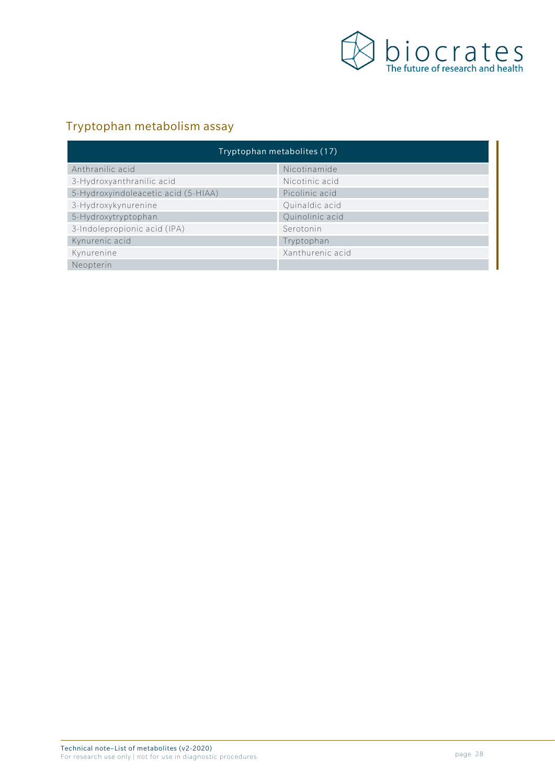

## Tryptophan metabolism assay

| Tryptophan metabolites (17)         |                  |  |
|-------------------------------------|------------------|--|
| Anthranilic acid                    | Nicotinamide     |  |
| 3-Hydroxyanthranilic acid           | Nicotinic acid   |  |
| 5-Hydroxyindoleacetic acid (5-HIAA) | Picolinic acid   |  |
| 3-Hydroxykynurenine                 | Quinaldic acid   |  |
| 5-Hydroxytryptophan                 | Quinolinic acid  |  |
| 3-Indolepropionic acid (IPA)        | Serotonin        |  |
| Kynurenic acid                      | Tryptophan       |  |
| Kynurenine                          | Xanthurenic acid |  |
| Neopterin                           |                  |  |